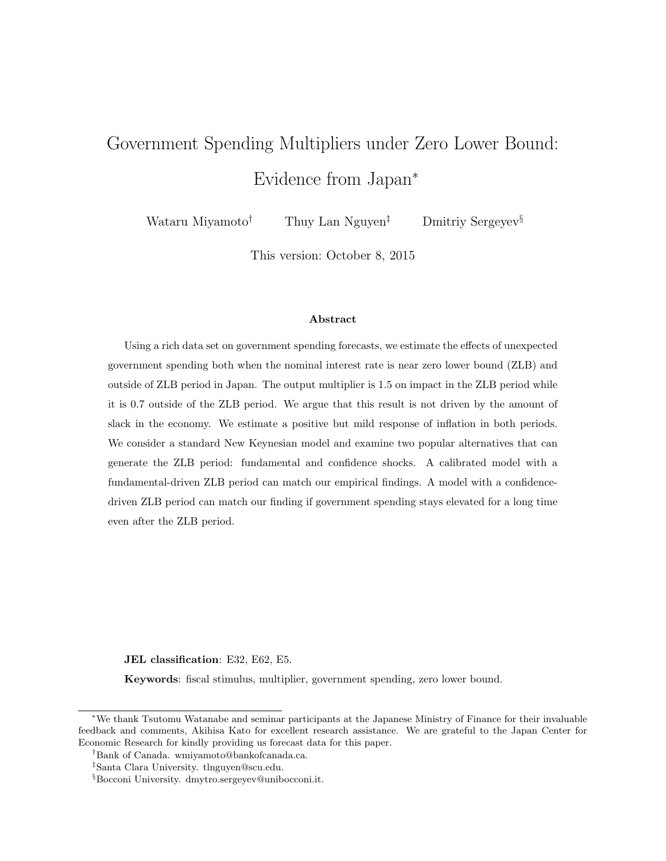# Government Spending Multipliers under Zero Lower Bound: Evidence from Japan<sup>∗</sup>

Wataru Miyamoto<sup>†</sup> Thuy Lan Nguyen<sup>‡</sup> Dmitriy Sergeyev<sup>§</sup>

This version: October 8, 2015

#### Abstract

Using a rich data set on government spending forecasts, we estimate the effects of unexpected government spending both when the nominal interest rate is near zero lower bound (ZLB) and outside of ZLB period in Japan. The output multiplier is 1.5 on impact in the ZLB period while it is 0.7 outside of the ZLB period. We argue that this result is not driven by the amount of slack in the economy. We estimate a positive but mild response of inflation in both periods. We consider a standard New Keynesian model and examine two popular alternatives that can generate the ZLB period: fundamental and confidence shocks. A calibrated model with a fundamental-driven ZLB period can match our empirical findings. A model with a confidencedriven ZLB period can match our finding if government spending stays elevated for a long time even after the ZLB period.

JEL classification: E32, E62, E5.

Keywords: fiscal stimulus, multiplier, government spending, zero lower bound.

<sup>∗</sup>We thank Tsutomu Watanabe and seminar participants at the Japanese Ministry of Finance for their invaluable feedback and comments, Akihisa Kato for excellent research assistance. We are grateful to the Japan Center for Economic Research for kindly providing us forecast data for this paper.

<sup>†</sup>Bank of Canada. wmiyamoto@bankofcanada.ca.

<sup>‡</sup>Santa Clara University. tlnguyen@scu.edu.

<sup>§</sup>Bocconi University. dmytro.sergeyev@unibocconi.it.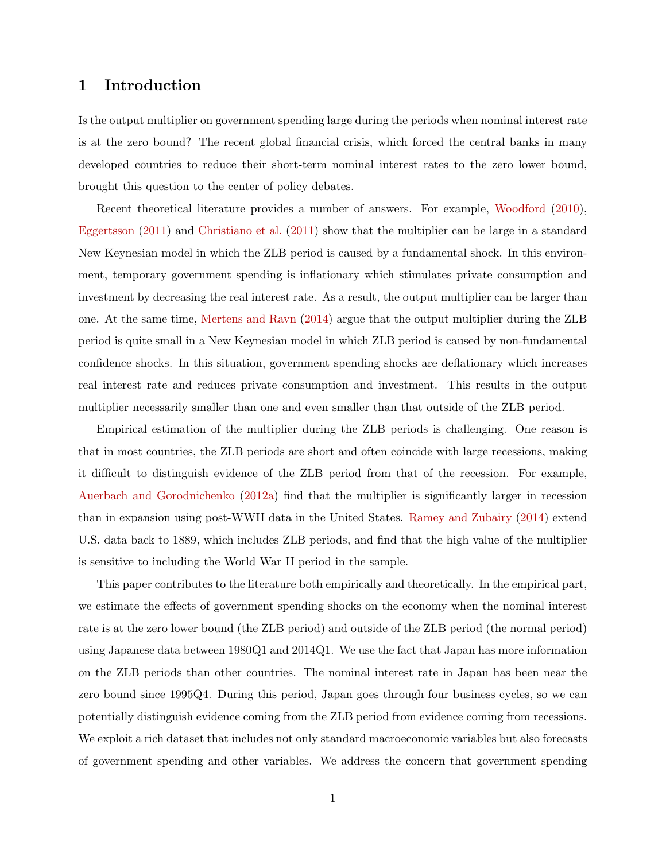## 1 Introduction

Is the output multiplier on government spending large during the periods when nominal interest rate is at the zero bound? The recent global financial crisis, which forced the central banks in many developed countries to reduce their short-term nominal interest rates to the zero lower bound, brought this question to the center of policy debates.

Recent theoretical literature provides a number of answers. For example, [Woodford](#page-29-0) [\(2010\)](#page-29-0), [Eggertsson](#page-28-0) [\(2011\)](#page-28-0) and [Christiano et al.](#page-27-0) [\(2011\)](#page-27-0) show that the multiplier can be large in a standard New Keynesian model in which the ZLB period is caused by a fundamental shock. In this environment, temporary government spending is inflationary which stimulates private consumption and investment by decreasing the real interest rate. As a result, the output multiplier can be larger than one. At the same time, [Mertens and Ravn](#page-28-1) [\(2014\)](#page-28-1) argue that the output multiplier during the ZLB period is quite small in a New Keynesian model in which ZLB period is caused by non-fundamental confidence shocks. In this situation, government spending shocks are deflationary which increases real interest rate and reduces private consumption and investment. This results in the output multiplier necessarily smaller than one and even smaller than that outside of the ZLB period.

Empirical estimation of the multiplier during the ZLB periods is challenging. One reason is that in most countries, the ZLB periods are short and often coincide with large recessions, making it difficult to distinguish evidence of the ZLB period from that of the recession. For example, [Auerbach and Gorodnichenko](#page-27-1) [\(2012a\)](#page-27-1) find that the multiplier is significantly larger in recession than in expansion using post-WWII data in the United States. [Ramey and Zubairy](#page-29-1) [\(2014\)](#page-29-1) extend U.S. data back to 1889, which includes ZLB periods, and find that the high value of the multiplier is sensitive to including the World War II period in the sample.

This paper contributes to the literature both empirically and theoretically. In the empirical part, we estimate the effects of government spending shocks on the economy when the nominal interest rate is at the zero lower bound (the ZLB period) and outside of the ZLB period (the normal period) using Japanese data between 1980Q1 and 2014Q1. We use the fact that Japan has more information on the ZLB periods than other countries. The nominal interest rate in Japan has been near the zero bound since 1995Q4. During this period, Japan goes through four business cycles, so we can potentially distinguish evidence coming from the ZLB period from evidence coming from recessions. We exploit a rich dataset that includes not only standard macroeconomic variables but also forecasts of government spending and other variables. We address the concern that government spending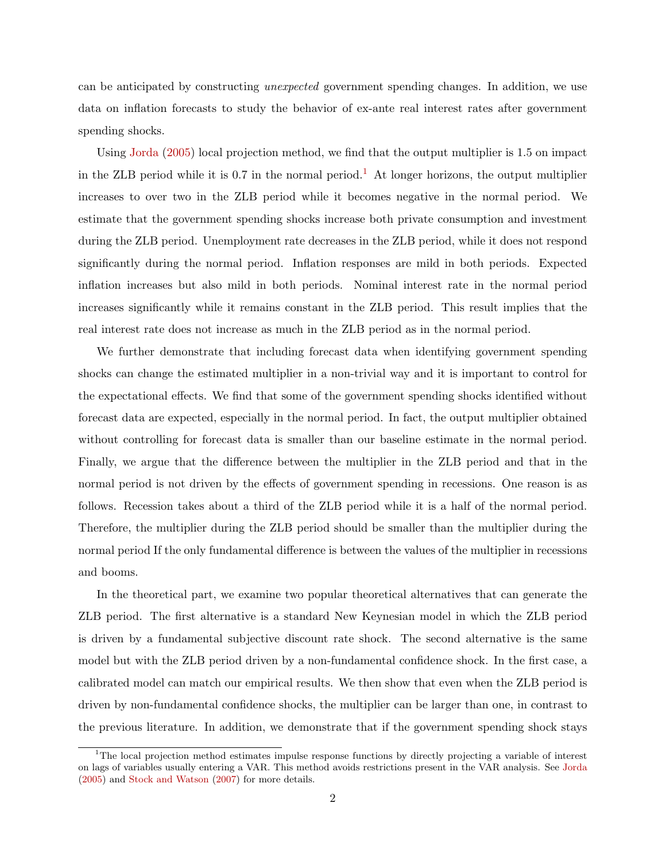can be anticipated by constructing unexpected government spending changes. In addition, we use data on inflation forecasts to study the behavior of ex-ante real interest rates after government spending shocks.

Using [Jorda](#page-28-2) [\(2005\)](#page-28-2) local projection method, we find that the output multiplier is 1.5 on impact in the ZLB period while it is  $0.7$  in the normal period.<sup>[1](#page-2-0)</sup> At longer horizons, the output multiplier increases to over two in the ZLB period while it becomes negative in the normal period. We estimate that the government spending shocks increase both private consumption and investment during the ZLB period. Unemployment rate decreases in the ZLB period, while it does not respond significantly during the normal period. Inflation responses are mild in both periods. Expected inflation increases but also mild in both periods. Nominal interest rate in the normal period increases significantly while it remains constant in the ZLB period. This result implies that the real interest rate does not increase as much in the ZLB period as in the normal period.

We further demonstrate that including forecast data when identifying government spending shocks can change the estimated multiplier in a non-trivial way and it is important to control for the expectational effects. We find that some of the government spending shocks identified without forecast data are expected, especially in the normal period. In fact, the output multiplier obtained without controlling for forecast data is smaller than our baseline estimate in the normal period. Finally, we argue that the difference between the multiplier in the ZLB period and that in the normal period is not driven by the effects of government spending in recessions. One reason is as follows. Recession takes about a third of the ZLB period while it is a half of the normal period. Therefore, the multiplier during the ZLB period should be smaller than the multiplier during the normal period If the only fundamental difference is between the values of the multiplier in recessions and booms.

In the theoretical part, we examine two popular theoretical alternatives that can generate the ZLB period. The first alternative is a standard New Keynesian model in which the ZLB period is driven by a fundamental subjective discount rate shock. The second alternative is the same model but with the ZLB period driven by a non-fundamental confidence shock. In the first case, a calibrated model can match our empirical results. We then show that even when the ZLB period is driven by non-fundamental confidence shocks, the multiplier can be larger than one, in contrast to the previous literature. In addition, we demonstrate that if the government spending shock stays

<span id="page-2-0"></span><sup>&</sup>lt;sup>1</sup>The local projection method estimates impulse response functions by directly projecting a variable of interest on lags of variables usually entering a VAR. This method avoids restrictions present in the VAR analysis. See [Jorda](#page-28-2) [\(2005\)](#page-28-2) and [Stock and Watson](#page-29-2) [\(2007\)](#page-29-2) for more details.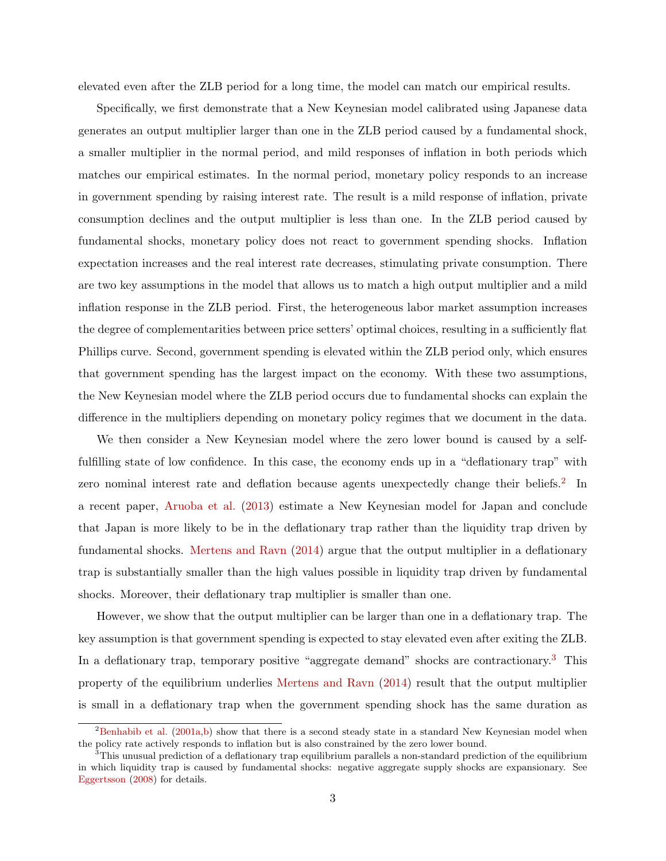elevated even after the ZLB period for a long time, the model can match our empirical results.

Specifically, we first demonstrate that a New Keynesian model calibrated using Japanese data generates an output multiplier larger than one in the ZLB period caused by a fundamental shock, a smaller multiplier in the normal period, and mild responses of inflation in both periods which matches our empirical estimates. In the normal period, monetary policy responds to an increase in government spending by raising interest rate. The result is a mild response of inflation, private consumption declines and the output multiplier is less than one. In the ZLB period caused by fundamental shocks, monetary policy does not react to government spending shocks. Inflation expectation increases and the real interest rate decreases, stimulating private consumption. There are two key assumptions in the model that allows us to match a high output multiplier and a mild inflation response in the ZLB period. First, the heterogeneous labor market assumption increases the degree of complementarities between price setters' optimal choices, resulting in a sufficiently flat Phillips curve. Second, government spending is elevated within the ZLB period only, which ensures that government spending has the largest impact on the economy. With these two assumptions, the New Keynesian model where the ZLB period occurs due to fundamental shocks can explain the difference in the multipliers depending on monetary policy regimes that we document in the data.

We then consider a New Keynesian model where the zero lower bound is caused by a selffulfilling state of low confidence. In this case, the economy ends up in a "deflationary trap" with zero nominal interest rate and deflation because agents unexpectedly change their beliefs.<sup>[2](#page-3-0)</sup> In a recent paper, [Aruoba et al.](#page-27-2) [\(2013\)](#page-27-2) estimate a New Keynesian model for Japan and conclude that Japan is more likely to be in the deflationary trap rather than the liquidity trap driven by fundamental shocks. [Mertens and Ravn](#page-28-1) [\(2014\)](#page-28-1) argue that the output multiplier in a deflationary trap is substantially smaller than the high values possible in liquidity trap driven by fundamental shocks. Moreover, their deflationary trap multiplier is smaller than one.

However, we show that the output multiplier can be larger than one in a deflationary trap. The key assumption is that government spending is expected to stay elevated even after exiting the ZLB. In a deflationary trap, temporary positive "aggregate demand" shocks are contractionary.[3](#page-3-1) This property of the equilibrium underlies [Mertens and Ravn](#page-28-1) [\(2014\)](#page-28-1) result that the output multiplier is small in a deflationary trap when the government spending shock has the same duration as

<span id="page-3-0"></span><sup>&</sup>lt;sup>2</sup>[Benhabib et al.](#page-27-3) [\(2001a](#page-27-3)[,b\)](#page-27-4) show that there is a second steady state in a standard New Keynesian model when the policy rate actively responds to inflation but is also constrained by the zero lower bound.

<span id="page-3-1"></span> $3$ This unusual prediction of a deflationary trap equilibrium parallels a non-standard prediction of the equilibrium in which liquidity trap is caused by fundamental shocks: negative aggregate supply shocks are expansionary. See [Eggertsson](#page-28-3) [\(2008\)](#page-28-3) for details.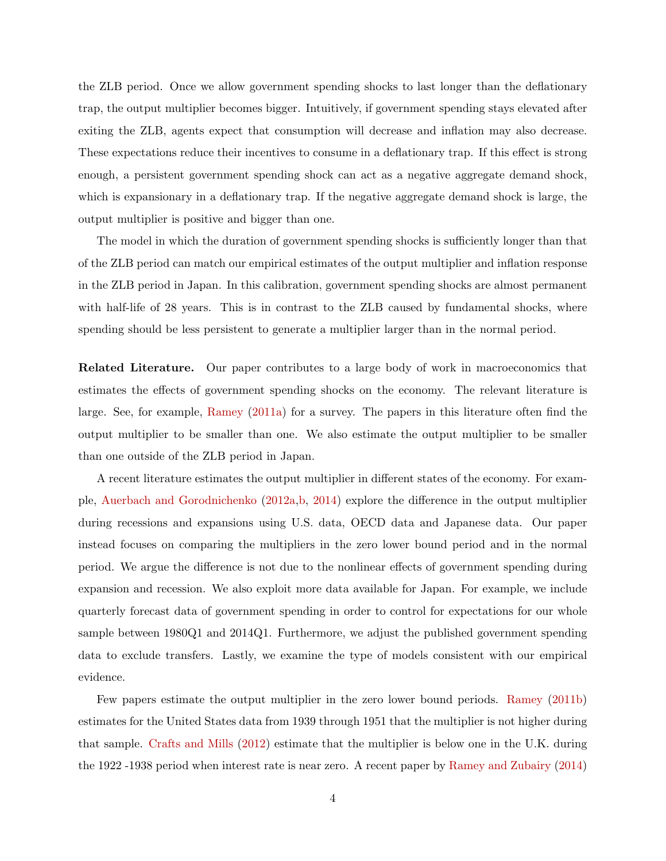the ZLB period. Once we allow government spending shocks to last longer than the deflationary trap, the output multiplier becomes bigger. Intuitively, if government spending stays elevated after exiting the ZLB, agents expect that consumption will decrease and inflation may also decrease. These expectations reduce their incentives to consume in a deflationary trap. If this effect is strong enough, a persistent government spending shock can act as a negative aggregate demand shock, which is expansionary in a deflationary trap. If the negative aggregate demand shock is large, the output multiplier is positive and bigger than one.

The model in which the duration of government spending shocks is sufficiently longer than that of the ZLB period can match our empirical estimates of the output multiplier and inflation response in the ZLB period in Japan. In this calibration, government spending shocks are almost permanent with half-life of 28 years. This is in contrast to the ZLB caused by fundamental shocks, where spending should be less persistent to generate a multiplier larger than in the normal period.

Related Literature. Our paper contributes to a large body of work in macroeconomics that estimates the effects of government spending shocks on the economy. The relevant literature is large. See, for example, [Ramey](#page-29-3) [\(2011a\)](#page-29-3) for a survey. The papers in this literature often find the output multiplier to be smaller than one. We also estimate the output multiplier to be smaller than one outside of the ZLB period in Japan.

A recent literature estimates the output multiplier in different states of the economy. For example, [Auerbach and Gorodnichenko](#page-27-1) [\(2012a,](#page-27-1)[b,](#page-27-5) [2014\)](#page-27-6) explore the difference in the output multiplier during recessions and expansions using U.S. data, OECD data and Japanese data. Our paper instead focuses on comparing the multipliers in the zero lower bound period and in the normal period. We argue the difference is not due to the nonlinear effects of government spending during expansion and recession. We also exploit more data available for Japan. For example, we include quarterly forecast data of government spending in order to control for expectations for our whole sample between 1980Q1 and 2014Q1. Furthermore, we adjust the published government spending data to exclude transfers. Lastly, we examine the type of models consistent with our empirical evidence.

Few papers estimate the output multiplier in the zero lower bound periods. [Ramey](#page-29-4) [\(2011b\)](#page-29-4) estimates for the United States data from 1939 through 1951 that the multiplier is not higher during that sample. [Crafts and Mills](#page-28-4) [\(2012\)](#page-28-4) estimate that the multiplier is below one in the U.K. during the 1922 -1938 period when interest rate is near zero. A recent paper by [Ramey and Zubairy](#page-29-1) [\(2014\)](#page-29-1)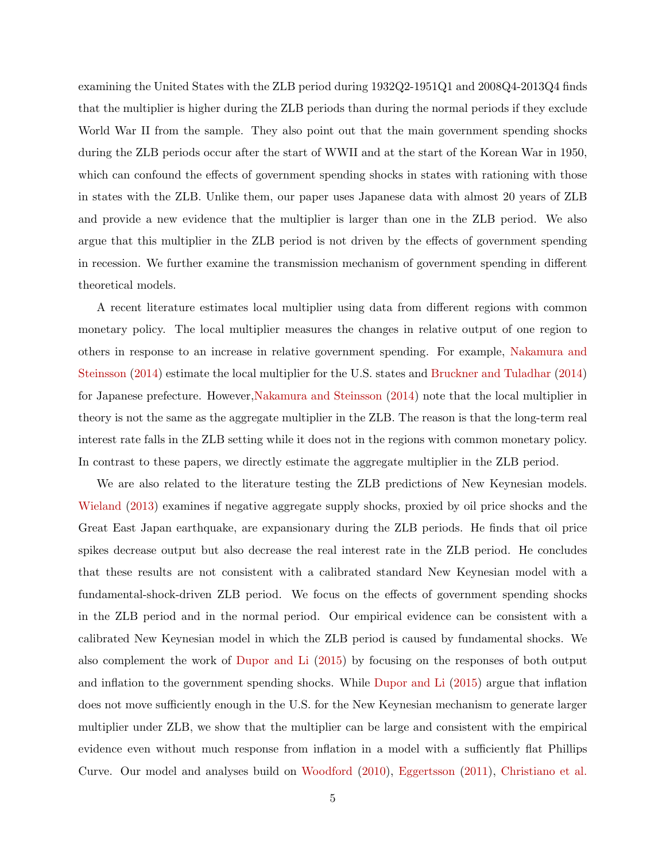examining the United States with the ZLB period during 1932Q2-1951Q1 and 2008Q4-2013Q4 finds that the multiplier is higher during the ZLB periods than during the normal periods if they exclude World War II from the sample. They also point out that the main government spending shocks during the ZLB periods occur after the start of WWII and at the start of the Korean War in 1950, which can confound the effects of government spending shocks in states with rationing with those in states with the ZLB. Unlike them, our paper uses Japanese data with almost 20 years of ZLB and provide a new evidence that the multiplier is larger than one in the ZLB period. We also argue that this multiplier in the ZLB period is not driven by the effects of government spending in recession. We further examine the transmission mechanism of government spending in different theoretical models.

A recent literature estimates local multiplier using data from different regions with common monetary policy. The local multiplier measures the changes in relative output of one region to others in response to an increase in relative government spending. For example, [Nakamura and](#page-29-5) [Steinsson](#page-29-5) [\(2014\)](#page-29-5) estimate the local multiplier for the U.S. states and [Bruckner and Tuladhar](#page-27-7) [\(2014\)](#page-27-7) for Japanese prefecture. However[,Nakamura and Steinsson](#page-29-5) [\(2014\)](#page-29-5) note that the local multiplier in theory is not the same as the aggregate multiplier in the ZLB. The reason is that the long-term real interest rate falls in the ZLB setting while it does not in the regions with common monetary policy. In contrast to these papers, we directly estimate the aggregate multiplier in the ZLB period.

We are also related to the literature testing the ZLB predictions of New Keynesian models. [Wieland](#page-29-6) [\(2013\)](#page-29-6) examines if negative aggregate supply shocks, proxied by oil price shocks and the Great East Japan earthquake, are expansionary during the ZLB periods. He finds that oil price spikes decrease output but also decrease the real interest rate in the ZLB period. He concludes that these results are not consistent with a calibrated standard New Keynesian model with a fundamental-shock-driven ZLB period. We focus on the effects of government spending shocks in the ZLB period and in the normal period. Our empirical evidence can be consistent with a calibrated New Keynesian model in which the ZLB period is caused by fundamental shocks. We also complement the work of [Dupor and Li](#page-28-5) [\(2015\)](#page-28-5) by focusing on the responses of both output and inflation to the government spending shocks. While [Dupor and Li](#page-28-5) [\(2015\)](#page-28-5) argue that inflation does not move sufficiently enough in the U.S. for the New Keynesian mechanism to generate larger multiplier under ZLB, we show that the multiplier can be large and consistent with the empirical evidence even without much response from inflation in a model with a sufficiently flat Phillips Curve. Our model and analyses build on [Woodford](#page-29-0) [\(2010\)](#page-29-0), [Eggertsson](#page-28-0) [\(2011\)](#page-28-0), [Christiano et al.](#page-27-0)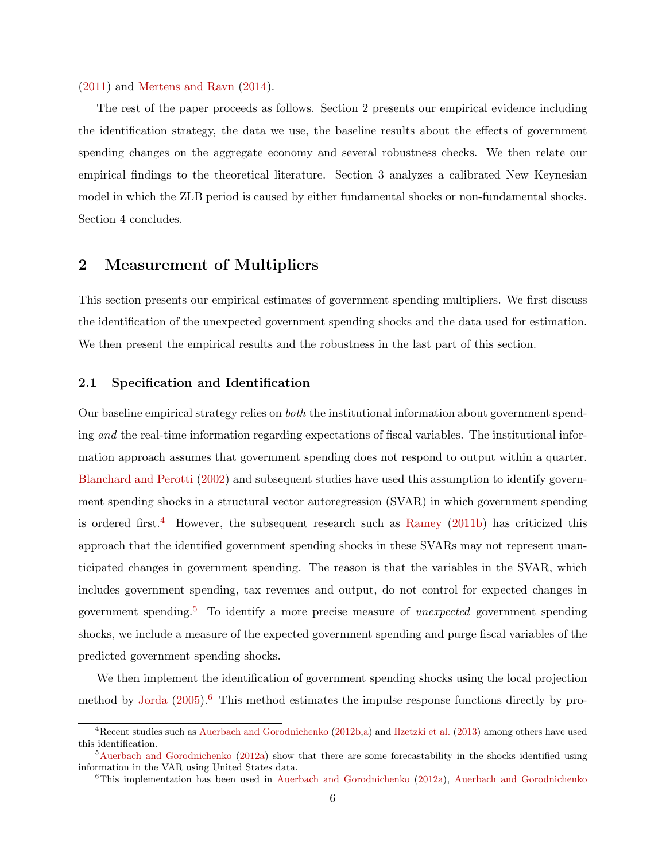#### [\(2011\)](#page-27-0) and [Mertens and Ravn](#page-28-1) [\(2014\)](#page-28-1).

The rest of the paper proceeds as follows. Section 2 presents our empirical evidence including the identification strategy, the data we use, the baseline results about the effects of government spending changes on the aggregate economy and several robustness checks. We then relate our empirical findings to the theoretical literature. Section 3 analyzes a calibrated New Keynesian model in which the ZLB period is caused by either fundamental shocks or non-fundamental shocks. Section 4 concludes.

# 2 Measurement of Multipliers

This section presents our empirical estimates of government spending multipliers. We first discuss the identification of the unexpected government spending shocks and the data used for estimation. We then present the empirical results and the robustness in the last part of this section.

## 2.1 Specification and Identification

Our baseline empirical strategy relies on both the institutional information about government spending and the real-time information regarding expectations of fiscal variables. The institutional information approach assumes that government spending does not respond to output within a quarter. [Blanchard and Perotti](#page-27-8) [\(2002\)](#page-27-8) and subsequent studies have used this assumption to identify government spending shocks in a structural vector autoregression (SVAR) in which government spending is ordered first.<sup>[4](#page-6-0)</sup> However, the subsequent research such as [Ramey](#page-29-4)  $(2011b)$  has criticized this approach that the identified government spending shocks in these SVARs may not represent unanticipated changes in government spending. The reason is that the variables in the SVAR, which includes government spending, tax revenues and output, do not control for expected changes in government spending.<sup>[5](#page-6-1)</sup> To identify a more precise measure of *unexpected* government spending shocks, we include a measure of the expected government spending and purge fiscal variables of the predicted government spending shocks.

We then implement the identification of government spending shocks using the local projection method by [Jorda](#page-28-2)  $(2005)$ .<sup>[6](#page-6-2)</sup> This method estimates the impulse response functions directly by pro-

<span id="page-6-0"></span><sup>&</sup>lt;sup>4</sup>Recent studies such as [Auerbach and Gorodnichenko](#page-27-5) [\(2012b,](#page-27-5)[a\)](#page-27-1) and [Ilzetzki et al.](#page-28-6) [\(2013\)](#page-28-6) among others have used this identification.

<span id="page-6-1"></span> $5$ [Auerbach and Gorodnichenko](#page-27-1) [\(2012a\)](#page-27-1) show that there are some forecastability in the shocks identified using information in the VAR using United States data.

<span id="page-6-2"></span> $6$ This implementation has been used in [Auerbach and Gorodnichenko](#page-27-5) [\(2012a\)](#page-27-1), Auerbach and Gorodnichenko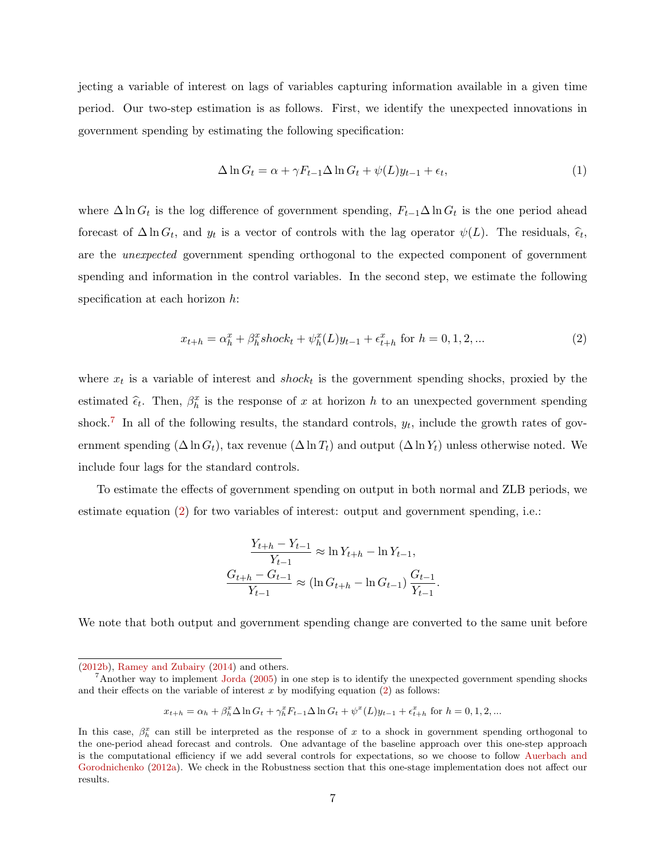jecting a variable of interest on lags of variables capturing information available in a given time period. Our two-step estimation is as follows. First, we identify the unexpected innovations in government spending by estimating the following specification:

<span id="page-7-2"></span>
$$
\Delta \ln G_t = \alpha + \gamma F_{t-1} \Delta \ln G_t + \psi(L) y_{t-1} + \epsilon_t,
$$
\n(1)

where  $\Delta \ln G_t$  is the log difference of government spending,  $F_{t-1}\Delta \ln G_t$  is the one period ahead forecast of  $\Delta \ln G_t$ , and  $y_t$  is a vector of controls with the lag operator  $\psi(L)$ . The residuals,  $\hat{\epsilon}_t$ , are the unexpected government spending orthogonal to the expected component of government spending and information in the control variables. In the second step, we estimate the following specification at each horizon  $h$ :

<span id="page-7-1"></span>
$$
x_{t+h} = \alpha_h^x + \beta_h^x shock_t + \psi_h^x(L)y_{t-1} + \epsilon_{t+h}^x \text{ for } h = 0, 1, 2, ... \tag{2}
$$

.

where  $x_t$  is a variable of interest and  $shock_t$  is the government spending shocks, proxied by the estimated  $\hat{\epsilon}_t$ . Then,  $\beta_h^x$  is the response of x at horizon h to an unexpected government spending shock.<sup>[7](#page-7-0)</sup> In all of the following results, the standard controls,  $y_t$ , include the growth rates of government spending  $(\Delta \ln G_t)$ , tax revenue  $(\Delta \ln T_t)$  and output  $(\Delta \ln Y_t)$  unless otherwise noted. We include four lags for the standard controls.

To estimate the effects of government spending on output in both normal and ZLB periods, we estimate equation [\(2\)](#page-7-1) for two variables of interest: output and government spending, i.e.:

$$
\frac{Y_{t+h} - Y_{t-1}}{Y_{t-1}} \approx \ln Y_{t+h} - \ln Y_{t-1},
$$
  

$$
\frac{G_{t+h} - G_{t-1}}{Y_{t-1}} \approx (\ln G_{t+h} - \ln G_{t-1}) \frac{G_{t-1}}{Y_{t-1}}
$$

We note that both output and government spending change are converted to the same unit before

$$
x_{t+h} = \alpha_h + \beta_h^x \Delta \ln G_t + \gamma_h^x F_{t-1} \Delta \ln G_t + \psi^x(L) y_{t-1} + \epsilon_{t+h}^x \text{ for } h = 0, 1, 2, ...
$$

[<sup>\(2012</sup>b\)](#page-27-5), [Ramey and Zubairy](#page-29-1) [\(2014\)](#page-29-1) and others.

<span id="page-7-0"></span><sup>&</sup>lt;sup>7</sup>Another way to implement [Jorda](#page-28-2) [\(2005\)](#page-28-2) in one step is to identify the unexpected government spending shocks and their effects on the variable of interest  $x$  by modifying equation [\(2\)](#page-7-1) as follows:

In this case,  $\beta_h^x$  can still be interpreted as the response of x to a shock in government spending orthogonal to the one-period ahead forecast and controls. One advantage of the baseline approach over this one-step approach is the computational efficiency if we add several controls for expectations, so we choose to follow [Auerbach and](#page-27-1) [Gorodnichenko](#page-27-1) [\(2012a\)](#page-27-1). We check in the Robustness section that this one-stage implementation does not affect our results.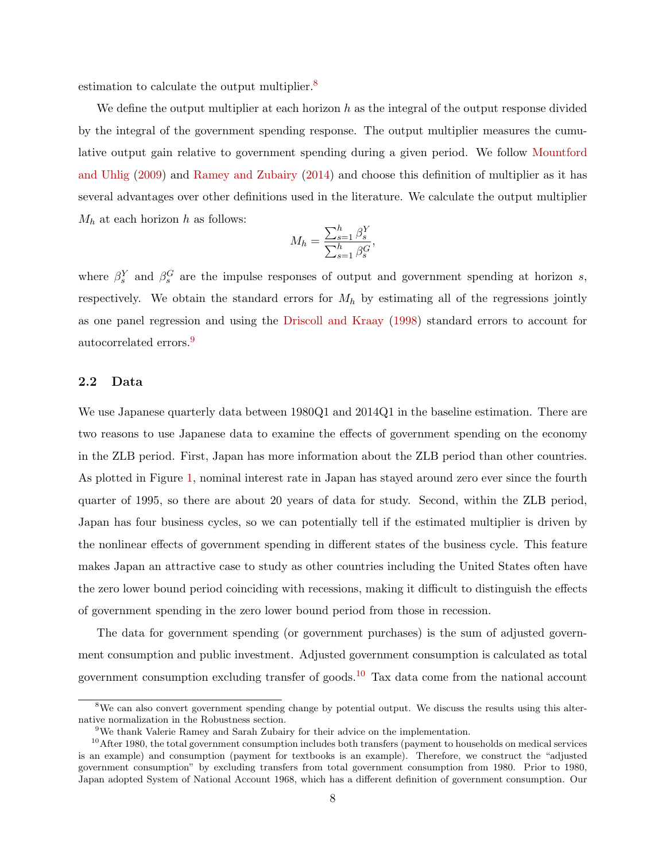estimation to calculate the output multiplier.<sup>[8](#page-8-0)</sup>

We define the output multiplier at each horizon h as the integral of the output response divided by the integral of the government spending response. The output multiplier measures the cumulative output gain relative to government spending during a given period. We follow [Mountford](#page-29-7) [and Uhlig](#page-29-7) [\(2009\)](#page-29-7) and [Ramey and Zubairy](#page-29-1) [\(2014\)](#page-29-1) and choose this definition of multiplier as it has several advantages over other definitions used in the literature. We calculate the output multiplier  $M_h$  at each horizon h as follows:

$$
M_h = \frac{\sum_{s=1}^h \beta_s^Y}{\sum_{s=1}^h \beta_s^G},
$$

where  $\beta_s^Y$  and  $\beta_s^G$  are the impulse responses of output and government spending at horizon s, respectively. We obtain the standard errors for  $M_h$  by estimating all of the regressions jointly as one panel regression and using the [Driscoll and Kraay](#page-28-7) [\(1998\)](#page-28-7) standard errors to account for autocorrelated errors.[9](#page-8-1)

#### 2.2 Data

We use Japanese quarterly data between 1980Q1 and 2014Q1 in the baseline estimation. There are two reasons to use Japanese data to examine the effects of government spending on the economy in the ZLB period. First, Japan has more information about the ZLB period than other countries. As plotted in Figure [1,](#page-42-0) nominal interest rate in Japan has stayed around zero ever since the fourth quarter of 1995, so there are about 20 years of data for study. Second, within the ZLB period, Japan has four business cycles, so we can potentially tell if the estimated multiplier is driven by the nonlinear effects of government spending in different states of the business cycle. This feature makes Japan an attractive case to study as other countries including the United States often have the zero lower bound period coinciding with recessions, making it difficult to distinguish the effects of government spending in the zero lower bound period from those in recession.

The data for government spending (or government purchases) is the sum of adjusted government consumption and public investment. Adjusted government consumption is calculated as total government consumption excluding transfer of goods.<sup>[10](#page-8-2)</sup> Tax data come from the national account

<span id="page-8-0"></span><sup>&</sup>lt;sup>8</sup>We can also convert government spending change by potential output. We discuss the results using this alternative normalization in the Robustness section.

<span id="page-8-2"></span><span id="page-8-1"></span><sup>9</sup>We thank Valerie Ramey and Sarah Zubairy for their advice on the implementation.

 $10$ After 1980, the total government consumption includes both transfers (payment to households on medical services is an example) and consumption (payment for textbooks is an example). Therefore, we construct the "adjusted government consumption" by excluding transfers from total government consumption from 1980. Prior to 1980, Japan adopted System of National Account 1968, which has a different definition of government consumption. Our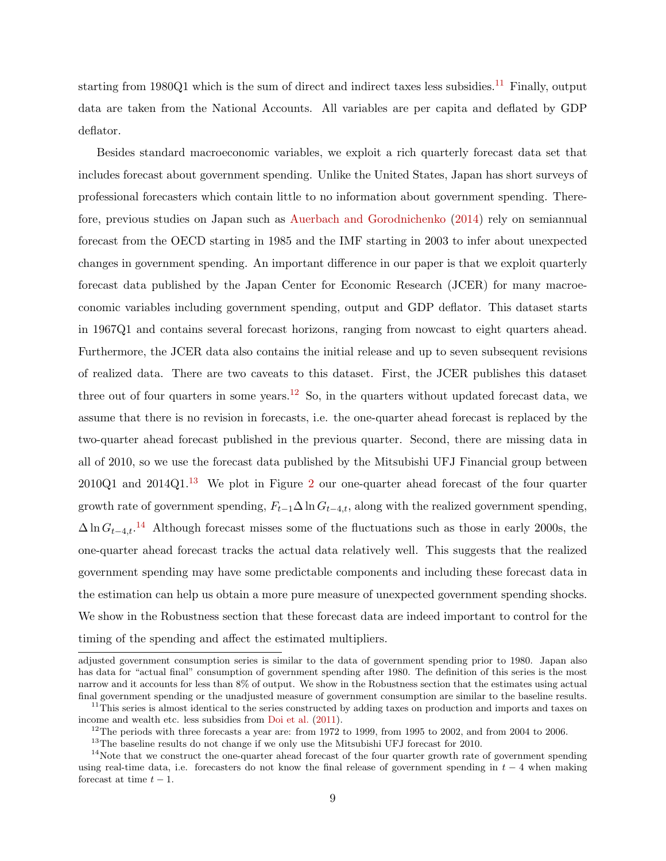starting from  $1980Q1$  which is the sum of direct and indirect taxes less subsidies.<sup>[11](#page-9-0)</sup> Finally, output data are taken from the National Accounts. All variables are per capita and deflated by GDP deflator.

Besides standard macroeconomic variables, we exploit a rich quarterly forecast data set that includes forecast about government spending. Unlike the United States, Japan has short surveys of professional forecasters which contain little to no information about government spending. Therefore, previous studies on Japan such as [Auerbach and Gorodnichenko](#page-27-6) [\(2014\)](#page-27-6) rely on semiannual forecast from the OECD starting in 1985 and the IMF starting in 2003 to infer about unexpected changes in government spending. An important difference in our paper is that we exploit quarterly forecast data published by the Japan Center for Economic Research (JCER) for many macroeconomic variables including government spending, output and GDP deflator. This dataset starts in 1967Q1 and contains several forecast horizons, ranging from nowcast to eight quarters ahead. Furthermore, the JCER data also contains the initial release and up to seven subsequent revisions of realized data. There are two caveats to this dataset. First, the JCER publishes this dataset three out of four quarters in some years.<sup>[12](#page-9-1)</sup> So, in the quarters without updated forecast data, we assume that there is no revision in forecasts, i.e. the one-quarter ahead forecast is replaced by the two-quarter ahead forecast published in the previous quarter. Second, there are missing data in all of 2010, so we use the forecast data published by the Mitsubishi UFJ Financial group between  $2010Q1$  $2010Q1$  and  $2014Q1<sup>13</sup>$  $2014Q1<sup>13</sup>$  $2014Q1<sup>13</sup>$  We plot in Figure 2 our one-quarter ahead forecast of the four quarter growth rate of government spending,  $F_{t-1}\Delta \ln G_{t-4,t}$ , along with the realized government spending,  $\Delta \ln G_{t-4,t}.$ <sup>[14](#page-9-3)</sup> Although forecast misses some of the fluctuations such as those in early 2000s, the one-quarter ahead forecast tracks the actual data relatively well. This suggests that the realized government spending may have some predictable components and including these forecast data in the estimation can help us obtain a more pure measure of unexpected government spending shocks. We show in the Robustness section that these forecast data are indeed important to control for the timing of the spending and affect the estimated multipliers.

adjusted government consumption series is similar to the data of government spending prior to 1980. Japan also has data for "actual final" consumption of government spending after 1980. The definition of this series is the most narrow and it accounts for less than 8% of output. We show in the Robustness section that the estimates using actual final government spending or the unadjusted measure of government consumption are similar to the baseline results.

<span id="page-9-0"></span> $11$ This series is almost identical to the series constructed by adding taxes on production and imports and taxes on income and wealth etc. less subsidies from [Doi et al.](#page-28-8) [\(2011\)](#page-28-8).

<span id="page-9-1"></span><sup>&</sup>lt;sup>12</sup>The periods with three forecasts a year are: from 1972 to 1999, from 1995 to 2002, and from 2004 to 2006.

<span id="page-9-3"></span><span id="page-9-2"></span><sup>&</sup>lt;sup>13</sup>The baseline results do not change if we only use the Mitsubishi UFJ forecast for 2010.

 $14$ Note that we construct the one-quarter ahead forecast of the four quarter growth rate of government spending using real-time data, i.e. forecasters do not know the final release of government spending in  $t - 4$  when making forecast at time  $t - 1$ .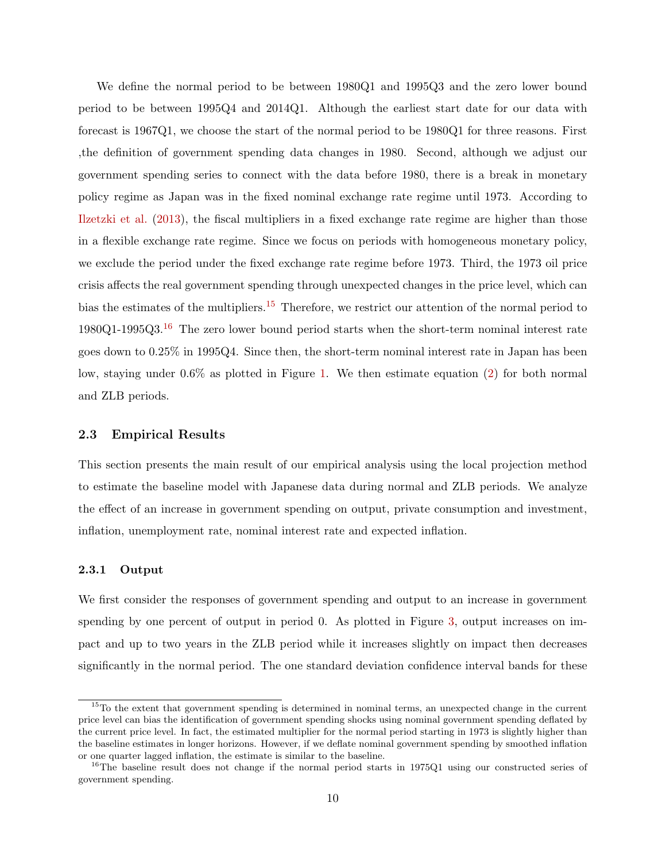We define the normal period to be between 1980Q1 and 1995Q3 and the zero lower bound period to be between 1995Q4 and 2014Q1. Although the earliest start date for our data with forecast is 1967Q1, we choose the start of the normal period to be 1980Q1 for three reasons. First ,the definition of government spending data changes in 1980. Second, although we adjust our government spending series to connect with the data before 1980, there is a break in monetary policy regime as Japan was in the fixed nominal exchange rate regime until 1973. According to [Ilzetzki et al.](#page-28-6) [\(2013\)](#page-28-6), the fiscal multipliers in a fixed exchange rate regime are higher than those in a flexible exchange rate regime. Since we focus on periods with homogeneous monetary policy, we exclude the period under the fixed exchange rate regime before 1973. Third, the 1973 oil price crisis affects the real government spending through unexpected changes in the price level, which can bias the estimates of the multipliers.[15](#page-10-0) Therefore, we restrict our attention of the normal period to 1980Q1-1995Q3.[16](#page-10-1) The zero lower bound period starts when the short-term nominal interest rate goes down to 0.25% in 1995Q4. Since then, the short-term nominal interest rate in Japan has been low, staying under 0.6% as plotted in Figure [1.](#page-42-0) We then estimate equation [\(2\)](#page-7-1) for both normal and ZLB periods.

### 2.3 Empirical Results

This section presents the main result of our empirical analysis using the local projection method to estimate the baseline model with Japanese data during normal and ZLB periods. We analyze the effect of an increase in government spending on output, private consumption and investment, inflation, unemployment rate, nominal interest rate and expected inflation.

#### 2.3.1 Output

We first consider the responses of government spending and output to an increase in government spending by one percent of output in period 0. As plotted in Figure [3,](#page-43-1) output increases on impact and up to two years in the ZLB period while it increases slightly on impact then decreases significantly in the normal period. The one standard deviation confidence interval bands for these

<span id="page-10-0"></span><sup>&</sup>lt;sup>15</sup>To the extent that government spending is determined in nominal terms, an unexpected change in the current price level can bias the identification of government spending shocks using nominal government spending deflated by the current price level. In fact, the estimated multiplier for the normal period starting in 1973 is slightly higher than the baseline estimates in longer horizons. However, if we deflate nominal government spending by smoothed inflation or one quarter lagged inflation, the estimate is similar to the baseline.

<span id="page-10-1"></span><sup>&</sup>lt;sup>16</sup>The baseline result does not change if the normal period starts in 1975Q1 using our constructed series of government spending.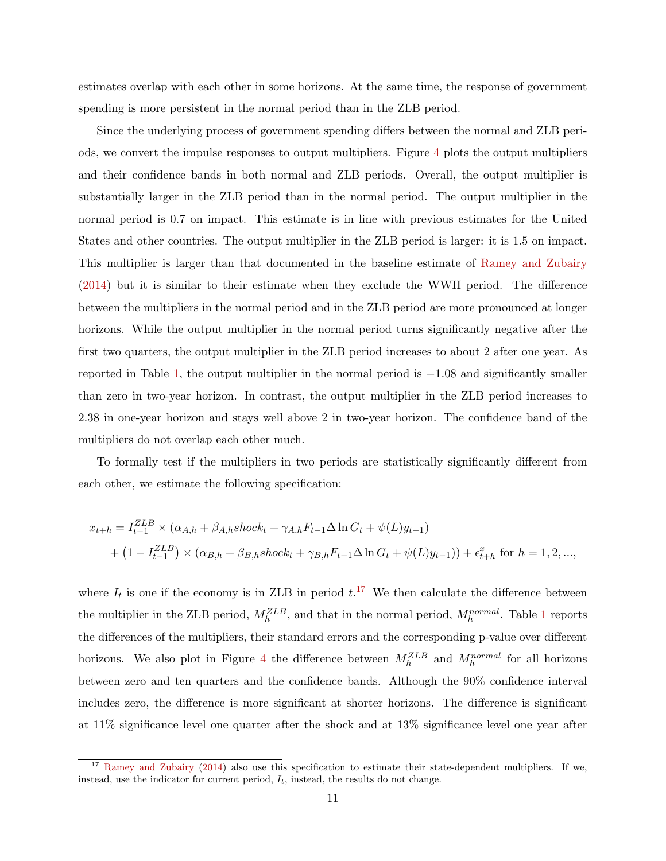estimates overlap with each other in some horizons. At the same time, the response of government spending is more persistent in the normal period than in the ZLB period.

Since the underlying process of government spending differs between the normal and ZLB periods, we convert the impulse responses to output multipliers. Figure [4](#page-44-0) plots the output multipliers and their confidence bands in both normal and ZLB periods. Overall, the output multiplier is substantially larger in the ZLB period than in the normal period. The output multiplier in the normal period is 0.7 on impact. This estimate is in line with previous estimates for the United States and other countries. The output multiplier in the ZLB period is larger: it is 1.5 on impact. This multiplier is larger than that documented in the baseline estimate of [Ramey and Zubairy](#page-29-1) [\(2014\)](#page-29-1) but it is similar to their estimate when they exclude the WWII period. The difference between the multipliers in the normal period and in the ZLB period are more pronounced at longer horizons. While the output multiplier in the normal period turns significantly negative after the first two quarters, the output multiplier in the ZLB period increases to about 2 after one year. As reported in Table [1,](#page-38-0) the output multiplier in the normal period is  $-1.08$  and significantly smaller than zero in two-year horizon. In contrast, the output multiplier in the ZLB period increases to 2.38 in one-year horizon and stays well above 2 in two-year horizon. The confidence band of the multipliers do not overlap each other much.

To formally test if the multipliers in two periods are statistically significantly different from each other, we estimate the following specification:

$$
x_{t+h} = I_{t-1}^{ZLB} \times (\alpha_{A,h} + \beta_{A,h} \, \text{shock}_t + \gamma_{A,h} F_{t-1} \Delta \ln G_t + \psi(L) y_{t-1})
$$
  
+ 
$$
(1 - I_{t-1}^{ZLB}) \times (\alpha_{B,h} + \beta_{B,h} \, \text{shock}_t + \gamma_{B,h} F_{t-1} \Delta \ln G_t + \psi(L) y_{t-1})) + \epsilon_{t+h}^x \text{ for } h = 1, 2, ...,
$$

where  $I_t$  is one if the economy is in ZLB in period  $t$ .<sup>[17](#page-11-0)</sup> We then calculate the difference between the multiplier in the ZLB period,  $M_h^{ZLB}$ , and that in the normal period,  $M_h^{normal}$ . Table [1](#page-38-0) reports the differences of the multipliers, their standard errors and the corresponding p-value over different horizons. We also plot in Figure [4](#page-44-0) the difference between  $M_h^{ZLB}$  and  $M_h^{normal}$  for all horizons between zero and ten quarters and the confidence bands. Although the 90% confidence interval includes zero, the difference is more significant at shorter horizons. The difference is significant at 11% significance level one quarter after the shock and at 13% significance level one year after

<span id="page-11-0"></span><sup>&</sup>lt;sup>17</sup> [Ramey and Zubairy](#page-29-1) [\(2014\)](#page-29-1) also use this specification to estimate their state-dependent multipliers. If we, instead, use the indicator for current period,  $I_t$ , instead, the results do not change.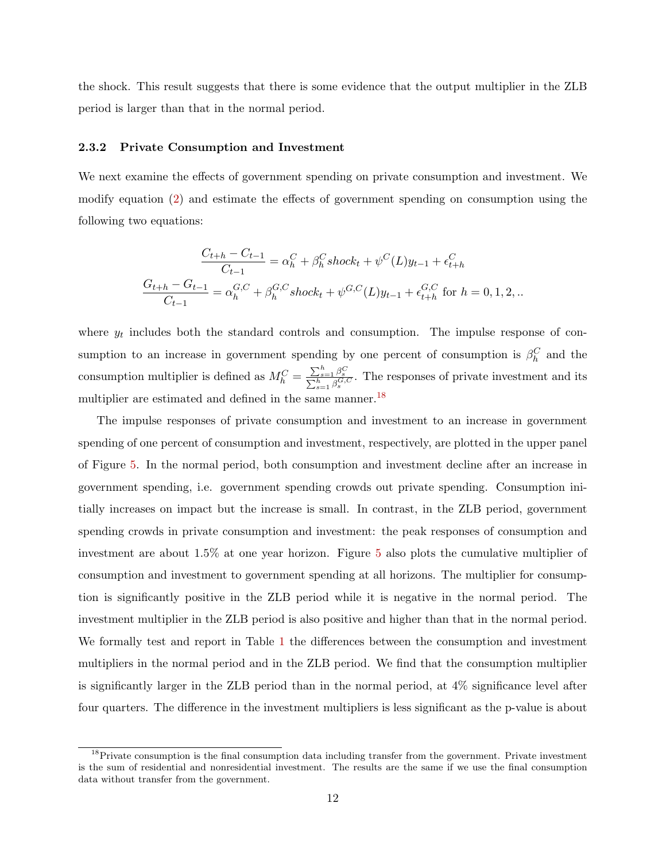the shock. This result suggests that there is some evidence that the output multiplier in the ZLB period is larger than that in the normal period.

#### 2.3.2 Private Consumption and Investment

We next examine the effects of government spending on private consumption and investment. We modify equation [\(2\)](#page-7-1) and estimate the effects of government spending on consumption using the following two equations:

$$
\frac{C_{t+h} - C_{t-1}}{C_{t-1}} = \alpha_h^C + \beta_h^C shock_t + \psi^C(L)y_{t-1} + \epsilon_{t+h}^C
$$

$$
\frac{G_{t+h} - G_{t-1}}{C_{t-1}} = \alpha_h^{G,C} + \beta_h^{G,C} shock_t + \psi^{G,C}(L)y_{t-1} + \epsilon_{t+h}^{G,C} \text{ for } h = 0, 1, 2, ...
$$

where  $y_t$  includes both the standard controls and consumption. The impulse response of consumption to an increase in government spending by one percent of consumption is  $\beta_h^C$  and the consumption multiplier is defined as  $M_h^C = \frac{\sum_{s=1}^h \beta_s^C}{\sum_{s=1}^h \beta_s^C}$ . The responses of private investment and its multiplier are estimated and defined in the same manner.<sup>[18](#page-12-0)</sup>

The impulse responses of private consumption and investment to an increase in government spending of one percent of consumption and investment, respectively, are plotted in the upper panel of Figure [5.](#page-44-1) In the normal period, both consumption and investment decline after an increase in government spending, i.e. government spending crowds out private spending. Consumption initially increases on impact but the increase is small. In contrast, in the ZLB period, government spending crowds in private consumption and investment: the peak responses of consumption and investment are about 1.5% at one year horizon. Figure [5](#page-44-1) also plots the cumulative multiplier of consumption and investment to government spending at all horizons. The multiplier for consumption is significantly positive in the ZLB period while it is negative in the normal period. The investment multiplier in the ZLB period is also positive and higher than that in the normal period. We formally test and report in Table [1](#page-38-0) the differences between the consumption and investment multipliers in the normal period and in the ZLB period. We find that the consumption multiplier is significantly larger in the ZLB period than in the normal period, at 4% significance level after four quarters. The difference in the investment multipliers is less significant as the p-value is about

<span id="page-12-0"></span><sup>&</sup>lt;sup>18</sup>Private consumption is the final consumption data including transfer from the government. Private investment is the sum of residential and nonresidential investment. The results are the same if we use the final consumption data without transfer from the government.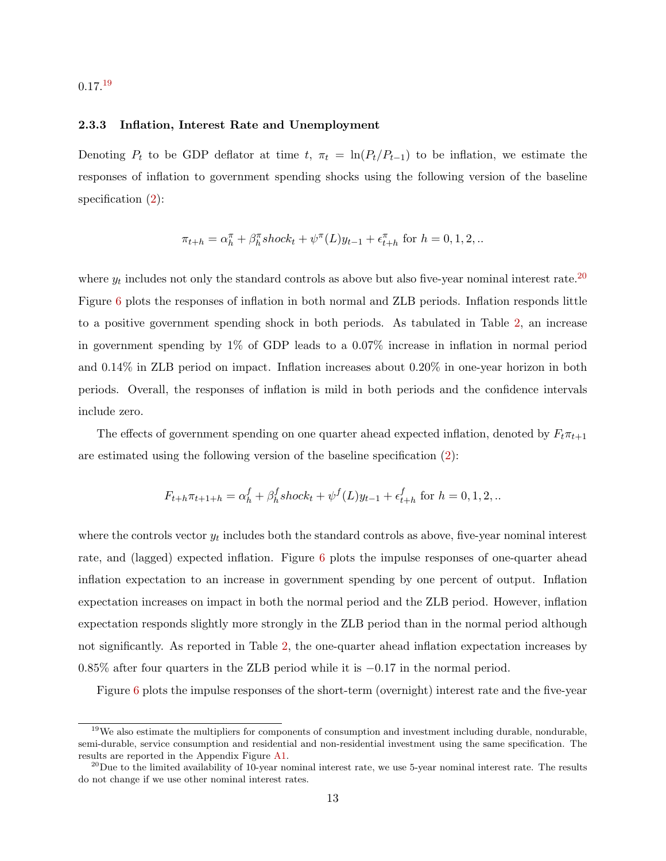## 0.17.[19](#page-13-0)

#### 2.3.3 Inflation, Interest Rate and Unemployment

Denoting  $P_t$  to be GDP deflator at time  $t$ ,  $\pi_t = \ln(P_t/P_{t-1})$  to be inflation, we estimate the responses of inflation to government spending shocks using the following version of the baseline specification  $(2)$ :

$$
\pi_{t+h} = \alpha_h^{\pi} + \beta_h^{\pi} \operatorname{shock}_t + \psi^{\pi}(L)y_{t-1} + \epsilon_{t+h}^{\pi} \text{ for } h = 0, 1, 2, \dots
$$

where  $y_t$  includes not only the standard controls as above but also five-year nominal interest rate.<sup>[20](#page-13-1)</sup> Figure [6](#page-45-0) plots the responses of inflation in both normal and ZLB periods. Inflation responds little to a positive government spending shock in both periods. As tabulated in Table [2,](#page-39-0) an increase in government spending by 1% of GDP leads to a 0.07% increase in inflation in normal period and 0.14% in ZLB period on impact. Inflation increases about 0.20% in one-year horizon in both periods. Overall, the responses of inflation is mild in both periods and the confidence intervals include zero.

The effects of government spending on one quarter ahead expected inflation, denoted by  $F_t \pi_{t+1}$ are estimated using the following version of the baseline specification [\(2\)](#page-7-1):

$$
F_{t+h}\pi_{t+1+h} = \alpha_h^f + \beta_h^f shock_t + \psi^f(L)y_{t-1} + \epsilon_{t+h}^f \text{ for } h = 0, 1, 2, ...
$$

where the controls vector  $y_t$  includes both the standard controls as above, five-year nominal interest rate, and (lagged) expected inflation. Figure [6](#page-45-0) plots the impulse responses of one-quarter ahead inflation expectation to an increase in government spending by one percent of output. Inflation expectation increases on impact in both the normal period and the ZLB period. However, inflation expectation responds slightly more strongly in the ZLB period than in the normal period although not significantly. As reported in Table [2,](#page-39-0) the one-quarter ahead inflation expectation increases by 0.85% after four quarters in the ZLB period while it is −0.17 in the normal period.

Figure [6](#page-45-0) plots the impulse responses of the short-term (overnight) interest rate and the five-year

<span id="page-13-0"></span><sup>&</sup>lt;sup>19</sup>We also estimate the multipliers for components of consumption and investment including durable, nondurable, semi-durable, service consumption and residential and non-residential investment using the same specification. The results are reported in the Appendix Figure [A1.](#page-52-0)

<span id="page-13-1"></span> $^{20}$ Due to the limited availability of 10-year nominal interest rate, we use 5-year nominal interest rate. The results do not change if we use other nominal interest rates.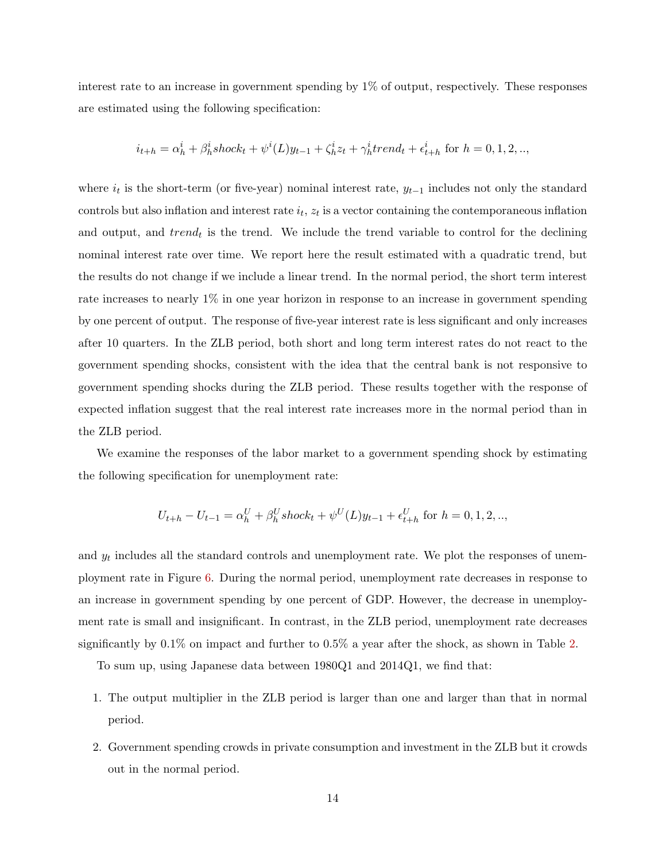interest rate to an increase in government spending by 1% of output, respectively. These responses are estimated using the following specification:

$$
i_{t+h} = \alpha_h^i + \beta_h^i \operatorname{shock}_t + \psi^i(L)y_{t-1} + \zeta_h^i z_t + \gamma_h^i \operatorname{trend}_t + \epsilon_{t+h}^i \text{ for } h = 0, 1, 2, \dots
$$

where  $i_t$  is the short-term (or five-year) nominal interest rate,  $y_{t-1}$  includes not only the standard controls but also inflation and interest rate  $i_t$ ,  $z_t$  is a vector containing the contemporaneous inflation and output, and  $trend_t$  is the trend. We include the trend variable to control for the declining nominal interest rate over time. We report here the result estimated with a quadratic trend, but the results do not change if we include a linear trend. In the normal period, the short term interest rate increases to nearly 1% in one year horizon in response to an increase in government spending by one percent of output. The response of five-year interest rate is less significant and only increases after 10 quarters. In the ZLB period, both short and long term interest rates do not react to the government spending shocks, consistent with the idea that the central bank is not responsive to government spending shocks during the ZLB period. These results together with the response of expected inflation suggest that the real interest rate increases more in the normal period than in the ZLB period.

We examine the responses of the labor market to a government spending shock by estimating the following specification for unemployment rate:

$$
U_{t+h} - U_{t-1} = \alpha_h^U + \beta_h^U shock_t + \psi^U(L)y_{t-1} + \epsilon_{t+h}^U \text{ for } h = 0, 1, 2, \dots
$$

and  $y_t$  includes all the standard controls and unemployment rate. We plot the responses of unemployment rate in Figure [6.](#page-45-0) During the normal period, unemployment rate decreases in response to an increase in government spending by one percent of GDP. However, the decrease in unemployment rate is small and insignificant. In contrast, in the ZLB period, unemployment rate decreases significantly by 0.1% on impact and further to 0.5% a year after the shock, as shown in Table [2.](#page-39-0)

To sum up, using Japanese data between 1980Q1 and 2014Q1, we find that:

- 1. The output multiplier in the ZLB period is larger than one and larger than that in normal period.
- 2. Government spending crowds in private consumption and investment in the ZLB but it crowds out in the normal period.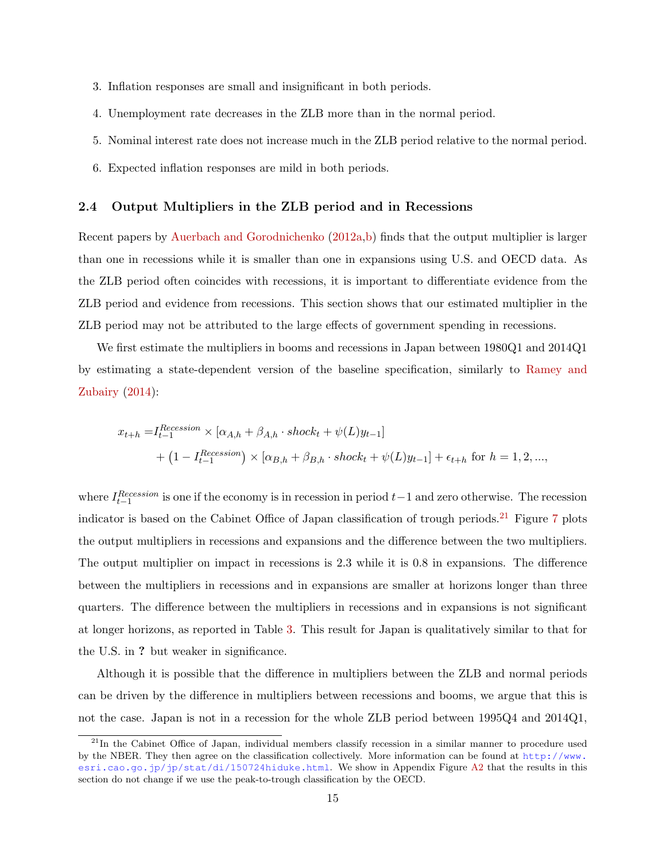- 3. Inflation responses are small and insignificant in both periods.
- 4. Unemployment rate decreases in the ZLB more than in the normal period.
- 5. Nominal interest rate does not increase much in the ZLB period relative to the normal period.
- 6. Expected inflation responses are mild in both periods.

#### 2.4 Output Multipliers in the ZLB period and in Recessions

Recent papers by [Auerbach and Gorodnichenko](#page-27-1) [\(2012a,](#page-27-1)[b\)](#page-27-5) finds that the output multiplier is larger than one in recessions while it is smaller than one in expansions using U.S. and OECD data. As the ZLB period often coincides with recessions, it is important to differentiate evidence from the ZLB period and evidence from recessions. This section shows that our estimated multiplier in the ZLB period may not be attributed to the large effects of government spending in recessions.

We first estimate the multipliers in booms and recessions in Japan between 1980Q1 and 2014Q1 by estimating a state-dependent version of the baseline specification, similarly to [Ramey and](#page-29-1) [Zubairy](#page-29-1)  $(2014)$ :

$$
x_{t+h} = I_{t-1}^{Recession} \times [\alpha_{A,h} + \beta_{A,h} \cdot shock_t + \psi(L)y_{t-1}]
$$
  
+ 
$$
(1 - I_{t-1}^{Recession}) \times [\alpha_{B,h} + \beta_{B,h} \cdot shock_t + \psi(L)y_{t-1}] + \epsilon_{t+h}
$$
 for  $h = 1, 2, ...,$ 

where  $I_{t-1}^{Recession}$  is one if the economy is in recession in period  $t-1$  and zero otherwise. The recession indicator is based on the Cabinet Office of Japan classification of trough periods.<sup>[21](#page-15-0)</sup> Figure [7](#page-46-0) plots the output multipliers in recessions and expansions and the difference between the two multipliers. The output multiplier on impact in recessions is 2.3 while it is 0.8 in expansions. The difference between the multipliers in recessions and in expansions are smaller at horizons longer than three quarters. The difference between the multipliers in recessions and in expansions is not significant at longer horizons, as reported in Table [3.](#page-40-0) This result for Japan is qualitatively similar to that for the U.S. in ? but weaker in significance.

Although it is possible that the difference in multipliers between the ZLB and normal periods can be driven by the difference in multipliers between recessions and booms, we argue that this is not the case. Japan is not in a recession for the whole ZLB period between 1995Q4 and 2014Q1,

<span id="page-15-0"></span> $^{21}$ In the Cabinet Office of Japan, individual members classify recession in a similar manner to procedure used by the NBER. They then agree on the classification collectively. More information can be found at [http://www.](http://www.esri.cao.go.jp/jp/stat/di/150724hiduke.html) [esri.cao.go.jp/jp/stat/di/150724hiduke.html](http://www.esri.cao.go.jp/jp/stat/di/150724hiduke.html). We show in Appendix Figure [A2](#page-53-0) that the results in this section do not change if we use the peak-to-trough classification by the OECD.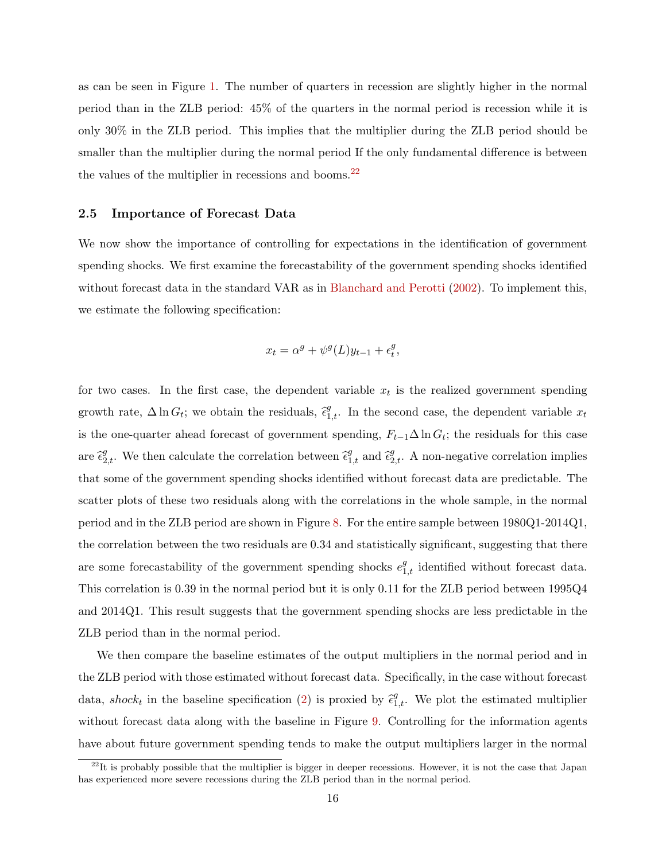as can be seen in Figure [1.](#page-42-0) The number of quarters in recession are slightly higher in the normal period than in the ZLB period: 45% of the quarters in the normal period is recession while it is only 30% in the ZLB period. This implies that the multiplier during the ZLB period should be smaller than the multiplier during the normal period If the only fundamental difference is between the values of the multiplier in recessions and booms. $^{22}$  $^{22}$  $^{22}$ 

#### 2.5 Importance of Forecast Data

We now show the importance of controlling for expectations in the identification of government spending shocks. We first examine the forecastability of the government spending shocks identified without forecast data in the standard VAR as in [Blanchard and Perotti](#page-27-8) [\(2002\)](#page-27-8). To implement this, we estimate the following specification:

$$
x_t = \alpha^g + \psi^g(L)y_{t-1} + \epsilon_t^g,
$$

for two cases. In the first case, the dependent variable  $x_t$  is the realized government spending growth rate,  $\Delta \ln G_t$ ; we obtain the residuals,  $\hat{\epsilon}_{1,t}^g$ . In the second case, the dependent variable  $x_t$ is the one-quarter ahead forecast of government spending,  $F_{t-1}\Delta \ln G_t$ ; the residuals for this case are  $\hat{\epsilon}_{2,t}^g$ . We then calculate the correlation between  $\hat{\epsilon}_{1,t}^g$  and  $\hat{\epsilon}_{2,t}^g$ . A non-negative correlation implies that some of the government spending shocks identified without forecast data are predictable. The scatter plots of these two residuals along with the correlations in the whole sample, in the normal period and in the ZLB period are shown in Figure [8.](#page-47-0) For the entire sample between 1980Q1-2014Q1, the correlation between the two residuals are 0.34 and statistically significant, suggesting that there are some forecastability of the government spending shocks  $e_{1,t}^g$  identified without forecast data. This correlation is 0.39 in the normal period but it is only 0.11 for the ZLB period between 1995Q4 and 2014Q1. This result suggests that the government spending shocks are less predictable in the ZLB period than in the normal period.

We then compare the baseline estimates of the output multipliers in the normal period and in the ZLB period with those estimated without forecast data. Specifically, in the case without forecast data, shock<sub>t</sub> in the baseline specification [\(2\)](#page-7-1) is proxied by  $\hat{\epsilon}_{1,t}^g$ . We plot the estimated multiplier without forecast data along with the baseline in Figure [9.](#page-48-0) Controlling for the information agents have about future government spending tends to make the output multipliers larger in the normal

<span id="page-16-0"></span> $^{22}$ It is probably possible that the multiplier is bigger in deeper recessions. However, it is not the case that Japan has experienced more severe recessions during the ZLB period than in the normal period.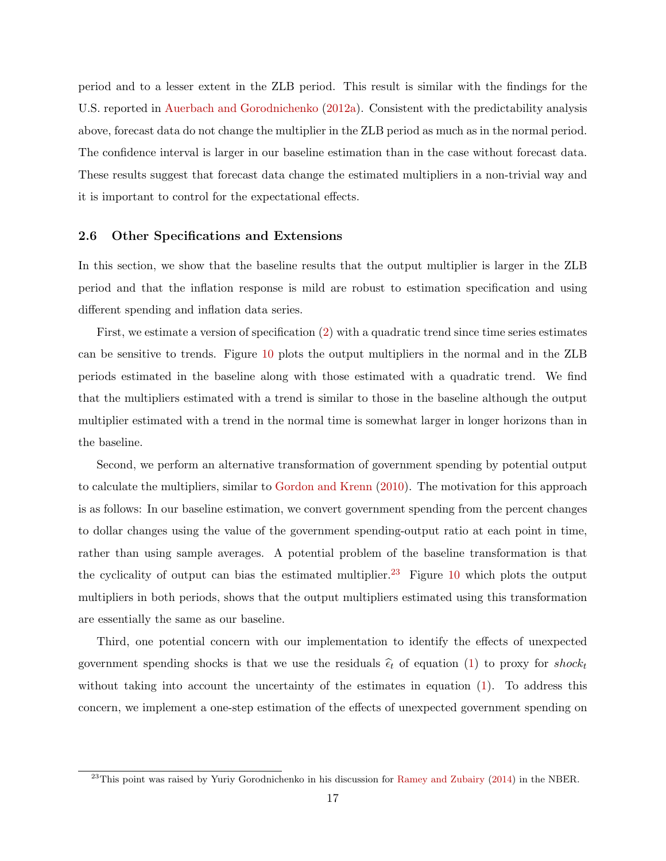period and to a lesser extent in the ZLB period. This result is similar with the findings for the U.S. reported in [Auerbach and Gorodnichenko](#page-27-1) [\(2012a\)](#page-27-1). Consistent with the predictability analysis above, forecast data do not change the multiplier in the ZLB period as much as in the normal period. The confidence interval is larger in our baseline estimation than in the case without forecast data. These results suggest that forecast data change the estimated multipliers in a non-trivial way and it is important to control for the expectational effects.

#### 2.6 Other Specifications and Extensions

In this section, we show that the baseline results that the output multiplier is larger in the ZLB period and that the inflation response is mild are robust to estimation specification and using different spending and inflation data series.

First, we estimate a version of specification [\(2\)](#page-7-1) with a quadratic trend since time series estimates can be sensitive to trends. Figure [10](#page-48-1) plots the output multipliers in the normal and in the ZLB periods estimated in the baseline along with those estimated with a quadratic trend. We find that the multipliers estimated with a trend is similar to those in the baseline although the output multiplier estimated with a trend in the normal time is somewhat larger in longer horizons than in the baseline.

Second, we perform an alternative transformation of government spending by potential output to calculate the multipliers, similar to [Gordon and Krenn](#page-28-9) [\(2010\)](#page-28-9). The motivation for this approach is as follows: In our baseline estimation, we convert government spending from the percent changes to dollar changes using the value of the government spending-output ratio at each point in time, rather than using sample averages. A potential problem of the baseline transformation is that the cyclicality of output can bias the estimated multiplier.<sup>[23](#page-17-0)</sup> Figure [10](#page-48-1) which plots the output multipliers in both periods, shows that the output multipliers estimated using this transformation are essentially the same as our baseline.

Third, one potential concern with our implementation to identify the effects of unexpected government spending shocks is that we use the residuals  $\hat{\epsilon}_t$  of equation [\(1\)](#page-7-2) to proxy for shock<sub>t</sub> without taking into account the uncertainty of the estimates in equation [\(1\)](#page-7-2). To address this concern, we implement a one-step estimation of the effects of unexpected government spending on

<span id="page-17-0"></span> $^{23}$ This point was raised by Yuriy Gorodnichenko in his discussion for [Ramey and Zubairy](#page-29-1) [\(2014\)](#page-29-1) in the NBER.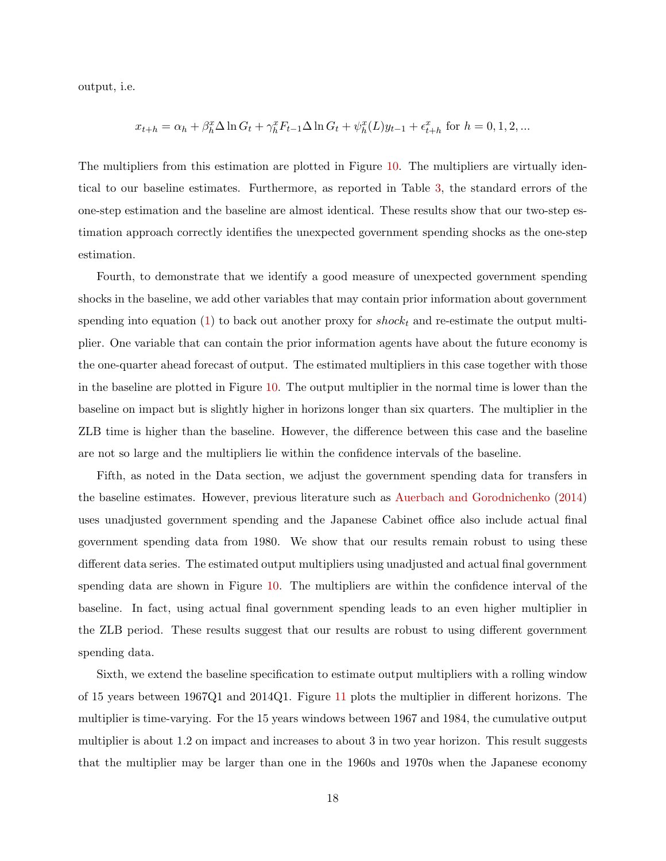output, i.e.

$$
x_{t+h} = \alpha_h + \beta_h^x \Delta \ln G_t + \gamma_h^x F_{t-1} \Delta \ln G_t + \psi_h^x(L) y_{t-1} + \epsilon_{t+h}^x \text{ for } h = 0, 1, 2, ...
$$

The multipliers from this estimation are plotted in Figure [10.](#page-48-1) The multipliers are virtually identical to our baseline estimates. Furthermore, as reported in Table [3,](#page-40-0) the standard errors of the one-step estimation and the baseline are almost identical. These results show that our two-step estimation approach correctly identifies the unexpected government spending shocks as the one-step estimation.

Fourth, to demonstrate that we identify a good measure of unexpected government spending shocks in the baseline, we add other variables that may contain prior information about government spending into equation [\(1\)](#page-7-2) to back out another proxy for  $shock_t$  and re-estimate the output multiplier. One variable that can contain the prior information agents have about the future economy is the one-quarter ahead forecast of output. The estimated multipliers in this case together with those in the baseline are plotted in Figure [10.](#page-48-1) The output multiplier in the normal time is lower than the baseline on impact but is slightly higher in horizons longer than six quarters. The multiplier in the ZLB time is higher than the baseline. However, the difference between this case and the baseline are not so large and the multipliers lie within the confidence intervals of the baseline.

Fifth, as noted in the Data section, we adjust the government spending data for transfers in the baseline estimates. However, previous literature such as [Auerbach and Gorodnichenko](#page-27-6) [\(2014\)](#page-27-6) uses unadjusted government spending and the Japanese Cabinet office also include actual final government spending data from 1980. We show that our results remain robust to using these different data series. The estimated output multipliers using unadjusted and actual final government spending data are shown in Figure [10.](#page-48-1) The multipliers are within the confidence interval of the baseline. In fact, using actual final government spending leads to an even higher multiplier in the ZLB period. These results suggest that our results are robust to using different government spending data.

Sixth, we extend the baseline specification to estimate output multipliers with a rolling window of 15 years between 1967Q1 and 2014Q1. Figure [11](#page-49-0) plots the multiplier in different horizons. The multiplier is time-varying. For the 15 years windows between 1967 and 1984, the cumulative output multiplier is about 1.2 on impact and increases to about 3 in two year horizon. This result suggests that the multiplier may be larger than one in the 1960s and 1970s when the Japanese economy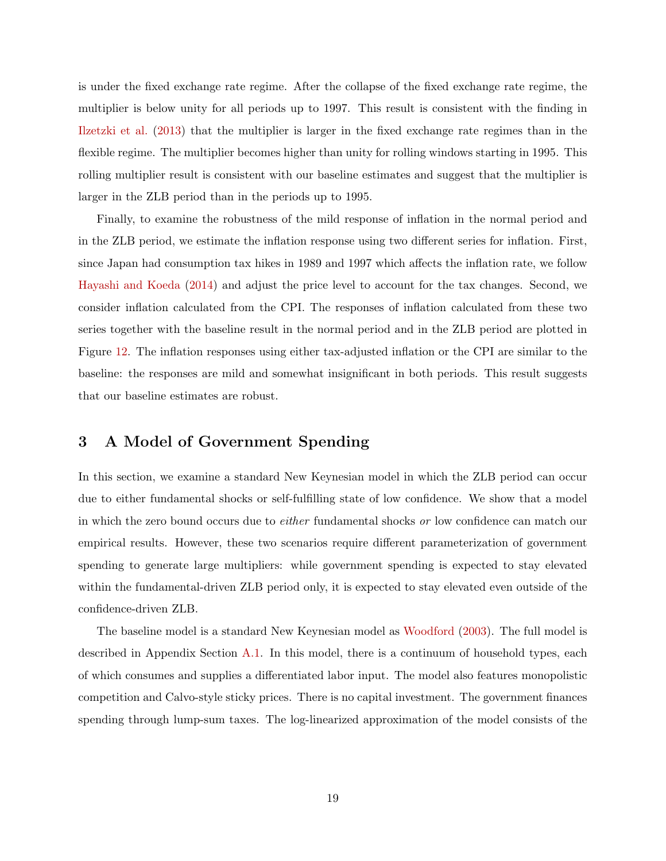is under the fixed exchange rate regime. After the collapse of the fixed exchange rate regime, the multiplier is below unity for all periods up to 1997. This result is consistent with the finding in [Ilzetzki et al.](#page-28-6) [\(2013\)](#page-28-6) that the multiplier is larger in the fixed exchange rate regimes than in the flexible regime. The multiplier becomes higher than unity for rolling windows starting in 1995. This rolling multiplier result is consistent with our baseline estimates and suggest that the multiplier is larger in the ZLB period than in the periods up to 1995.

Finally, to examine the robustness of the mild response of inflation in the normal period and in the ZLB period, we estimate the inflation response using two different series for inflation. First, since Japan had consumption tax hikes in 1989 and 1997 which affects the inflation rate, we follow [Hayashi and Koeda](#page-28-10) [\(2014\)](#page-28-10) and adjust the price level to account for the tax changes. Second, we consider inflation calculated from the CPI. The responses of inflation calculated from these two series together with the baseline result in the normal period and in the ZLB period are plotted in Figure [12.](#page-49-1) The inflation responses using either tax-adjusted inflation or the CPI are similar to the baseline: the responses are mild and somewhat insignificant in both periods. This result suggests that our baseline estimates are robust.

## 3 A Model of Government Spending

In this section, we examine a standard New Keynesian model in which the ZLB period can occur due to either fundamental shocks or self-fulfilling state of low confidence. We show that a model in which the zero bound occurs due to either fundamental shocks or low confidence can match our empirical results. However, these two scenarios require different parameterization of government spending to generate large multipliers: while government spending is expected to stay elevated within the fundamental-driven ZLB period only, it is expected to stay elevated even outside of the confidence-driven ZLB.

The baseline model is a standard New Keynesian model as [Woodford](#page-29-8) [\(2003\)](#page-29-8). The full model is described in Appendix Section [A.1.](#page-29-9) In this model, there is a continuum of household types, each of which consumes and supplies a differentiated labor input. The model also features monopolistic competition and Calvo-style sticky prices. There is no capital investment. The government finances spending through lump-sum taxes. The log-linearized approximation of the model consists of the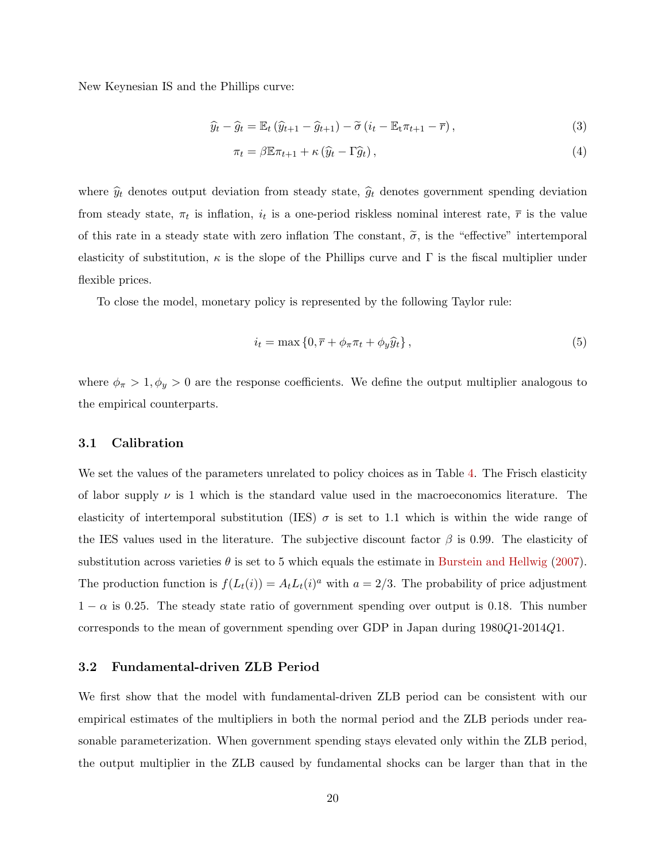New Keynesian IS and the Phillips curve:

$$
\widehat{y}_t - \widehat{g}_t = \mathbb{E}_t \left( \widehat{y}_{t+1} - \widehat{g}_{t+1} \right) - \widetilde{\sigma} \left( i_t - \mathbb{E}_t \pi_{t+1} - \overline{r} \right),\tag{3}
$$

$$
\pi_t = \beta \mathbb{E} \pi_{t+1} + \kappa \left( \widehat{y}_t - \Gamma \widehat{g}_t \right),\tag{4}
$$

where  $\hat{y}_t$  denotes output deviation from steady state,  $\hat{g}_t$  denotes government spending deviation from steady state,  $\pi_t$  is inflation,  $i_t$  is a one-period riskless nominal interest rate,  $\bar{r}$  is the value of this rate in a steady state with zero inflation The constant,  $\tilde{\sigma}$ , is the "effective" intertemporal elasticity of substitution,  $\kappa$  is the slope of the Phillips curve and Γ is the fiscal multiplier under flexible prices.

To close the model, monetary policy is represented by the following Taylor rule:

$$
i_t = \max\left\{0, \overline{r} + \phi_\pi \pi_t + \phi_y \widehat{y}_t\right\},\tag{5}
$$

where  $\phi_{\pi} > 1, \phi_y > 0$  are the response coefficients. We define the output multiplier analogous to the empirical counterparts.

#### 3.1 Calibration

We set the values of the parameters unrelated to policy choices as in Table [4.](#page-41-0) The Frisch elasticity of labor supply  $\nu$  is 1 which is the standard value used in the macroeconomics literature. The elasticity of intertemporal substitution (IES)  $\sigma$  is set to 1.1 which is within the wide range of the IES values used in the literature. The subjective discount factor  $\beta$  is 0.99. The elasticity of substitution across varieties  $\theta$  is set to 5 which equals the estimate in [Burstein and Hellwig](#page-27-9) [\(2007\)](#page-27-9). The production function is  $f(L_t(i)) = A_t L_t(i)^a$  with  $a = 2/3$ . The probability of price adjustment  $1 - \alpha$  is 0.25. The steady state ratio of government spending over output is 0.18. This number corresponds to the mean of government spending over GDP in Japan during 1980Q1-2014Q1.

## 3.2 Fundamental-driven ZLB Period

We first show that the model with fundamental-driven ZLB period can be consistent with our empirical estimates of the multipliers in both the normal period and the ZLB periods under reasonable parameterization. When government spending stays elevated only within the ZLB period, the output multiplier in the ZLB caused by fundamental shocks can be larger than that in the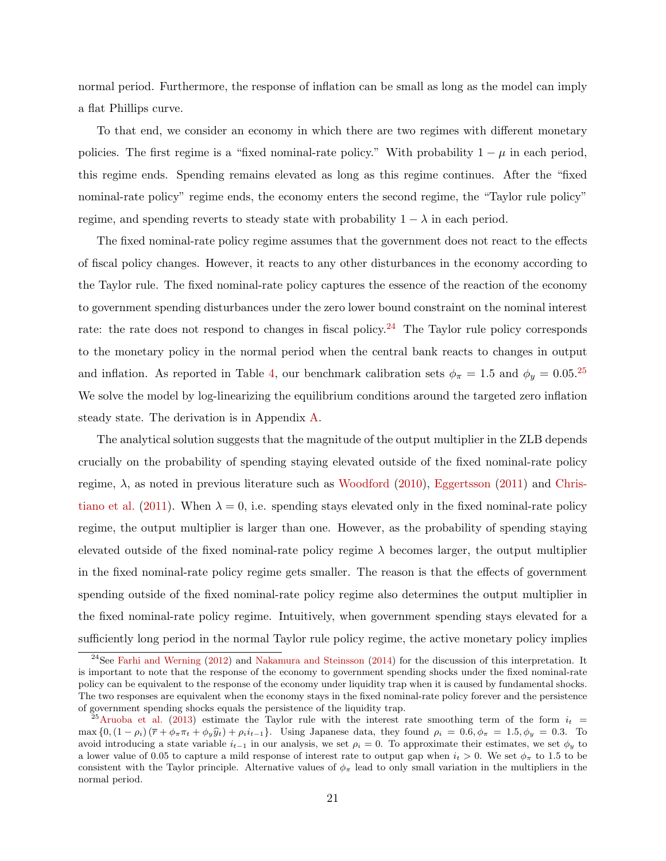normal period. Furthermore, the response of inflation can be small as long as the model can imply a flat Phillips curve.

To that end, we consider an economy in which there are two regimes with different monetary policies. The first regime is a "fixed nominal-rate policy." With probability  $1 - \mu$  in each period, this regime ends. Spending remains elevated as long as this regime continues. After the "fixed nominal-rate policy" regime ends, the economy enters the second regime, the "Taylor rule policy" regime, and spending reverts to steady state with probability  $1 - \lambda$  in each period.

The fixed nominal-rate policy regime assumes that the government does not react to the effects of fiscal policy changes. However, it reacts to any other disturbances in the economy according to the Taylor rule. The fixed nominal-rate policy captures the essence of the reaction of the economy to government spending disturbances under the zero lower bound constraint on the nominal interest rate: the rate does not respond to changes in fiscal policy.<sup>[24](#page-21-0)</sup> The Taylor rule policy corresponds to the monetary policy in the normal period when the central bank reacts to changes in output and inflation. As reported in Table [4,](#page-41-0) our benchmark calibration sets  $\phi_{\pi} = 1.5$  and  $\phi_{y} = 0.05^{25}$  $\phi_{y} = 0.05^{25}$  $\phi_{y} = 0.05^{25}$ We solve the model by log-linearizing the equilibrium conditions around the targeted zero inflation steady state. The derivation is in Appendix [A.](#page-29-10)

The analytical solution suggests that the magnitude of the output multiplier in the ZLB depends crucially on the probability of spending staying elevated outside of the fixed nominal-rate policy regime,  $\lambda$ , as noted in previous literature such as [Woodford](#page-29-0) [\(2010\)](#page-29-0), [Eggertsson](#page-28-0) [\(2011\)](#page-28-0) and [Chris](#page-27-0)[tiano et al.](#page-27-0) [\(2011\)](#page-27-0). When  $\lambda = 0$ , i.e. spending stays elevated only in the fixed nominal-rate policy regime, the output multiplier is larger than one. However, as the probability of spending staying elevated outside of the fixed nominal-rate policy regime  $\lambda$  becomes larger, the output multiplier in the fixed nominal-rate policy regime gets smaller. The reason is that the effects of government spending outside of the fixed nominal-rate policy regime also determines the output multiplier in the fixed nominal-rate policy regime. Intuitively, when government spending stays elevated for a sufficiently long period in the normal Taylor rule policy regime, the active monetary policy implies

<span id="page-21-0"></span> $^{24}$ See [Farhi and Werning](#page-28-11) [\(2012\)](#page-28-11) and [Nakamura and Steinsson](#page-29-5) [\(2014\)](#page-29-5) for the discussion of this interpretation. It is important to note that the response of the economy to government spending shocks under the fixed nominal-rate policy can be equivalent to the response of the economy under liquidity trap when it is caused by fundamental shocks. The two responses are equivalent when the economy stays in the fixed nominal-rate policy forever and the persistence of government spending shocks equals the persistence of the liquidity trap.

<span id="page-21-1"></span> $^{25}$ [Aruoba et al.](#page-27-2) [\(2013\)](#page-27-2) estimate the Taylor rule with the interest rate smoothing term of the form  $i_t$ max  ${0, (1 - \rho_i) (\bar{r} + \phi_\pi \pi_t + \phi_y \hat{y}_t) + \rho_i i_{t-1}}$ . Using Japanese data, they found  $\rho_i = 0.6, \phi_\pi = 1.5, \phi_y = 0.3$ . To avoid introducing a state variable  $i_{t-1}$  in our analysis, we set  $\rho_i = 0$ . To approximate their estimates, we set  $\phi_y$  to a lower value of 0.05 to capture a mild response of interest rate to output gap when  $i_t > 0$ . We set  $\phi_\pi$  to 1.5 to be consistent with the Taylor principle. Alternative values of  $\phi_{\pi}$  lead to only small variation in the multipliers in the normal period.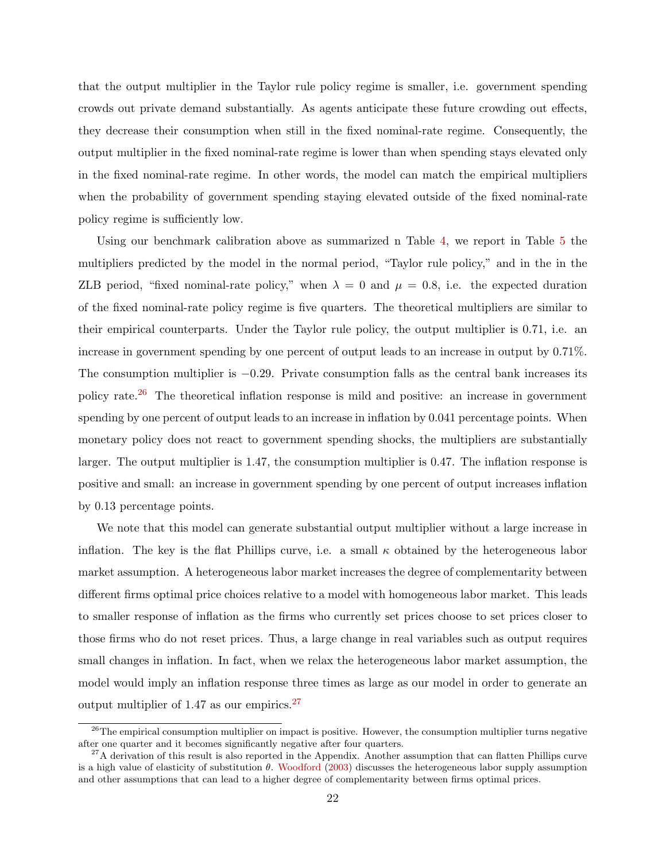that the output multiplier in the Taylor rule policy regime is smaller, i.e. government spending crowds out private demand substantially. As agents anticipate these future crowding out effects, they decrease their consumption when still in the fixed nominal-rate regime. Consequently, the output multiplier in the fixed nominal-rate regime is lower than when spending stays elevated only in the fixed nominal-rate regime. In other words, the model can match the empirical multipliers when the probability of government spending staying elevated outside of the fixed nominal-rate policy regime is sufficiently low.

Using our benchmark calibration above as summarized n Table [4,](#page-41-0) we report in Table [5](#page-41-1) the multipliers predicted by the model in the normal period, "Taylor rule policy," and in the in the ZLB period, "fixed nominal-rate policy," when  $\lambda = 0$  and  $\mu = 0.8$ , i.e. the expected duration of the fixed nominal-rate policy regime is five quarters. The theoretical multipliers are similar to their empirical counterparts. Under the Taylor rule policy, the output multiplier is 0.71, i.e. an increase in government spending by one percent of output leads to an increase in output by 0.71%. The consumption multiplier is −0.29. Private consumption falls as the central bank increases its policy rate.<sup>[26](#page-22-0)</sup> The theoretical inflation response is mild and positive: an increase in government spending by one percent of output leads to an increase in inflation by 0.041 percentage points. When monetary policy does not react to government spending shocks, the multipliers are substantially larger. The output multiplier is 1.47, the consumption multiplier is 0.47. The inflation response is positive and small: an increase in government spending by one percent of output increases inflation by 0.13 percentage points.

We note that this model can generate substantial output multiplier without a large increase in inflation. The key is the flat Phillips curve, i.e. a small  $\kappa$  obtained by the heterogeneous labor market assumption. A heterogeneous labor market increases the degree of complementarity between different firms optimal price choices relative to a model with homogeneous labor market. This leads to smaller response of inflation as the firms who currently set prices choose to set prices closer to those firms who do not reset prices. Thus, a large change in real variables such as output requires small changes in inflation. In fact, when we relax the heterogeneous labor market assumption, the model would imply an inflation response three times as large as our model in order to generate an output multiplier of 1.47 as our empirics.[27](#page-22-1)

<span id="page-22-0"></span> $26$ The empirical consumption multiplier on impact is positive. However, the consumption multiplier turns negative after one quarter and it becomes significantly negative after four quarters.

<span id="page-22-1"></span> $27A$  derivation of this result is also reported in the Appendix. Another assumption that can flatten Phillips curve is a high value of elasticity of substitution  $\theta$ . [Woodford](#page-29-8) [\(2003\)](#page-29-8) discusses the heterogeneous labor supply assumption and other assumptions that can lead to a higher degree of complementarity between firms optimal prices.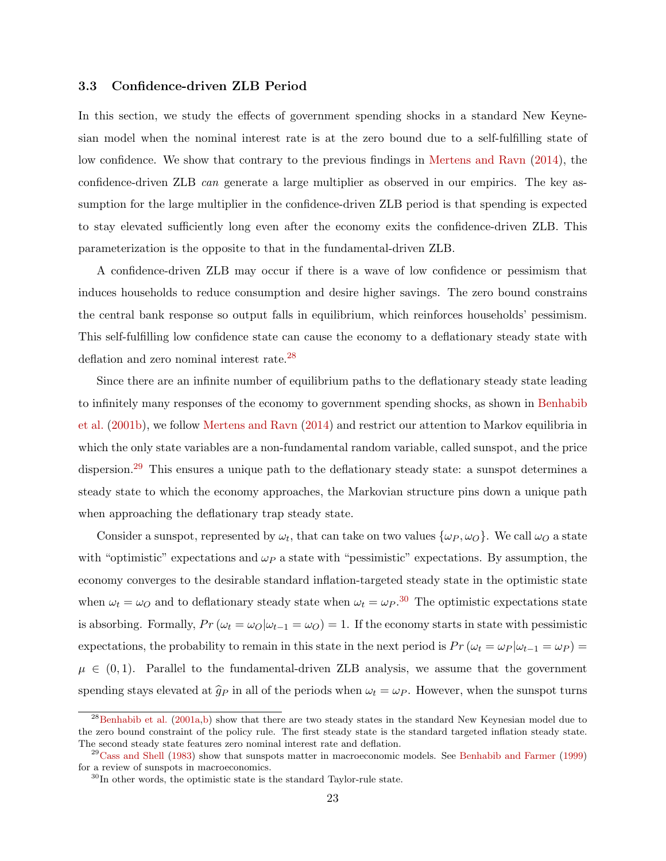#### 3.3 Confidence-driven ZLB Period

In this section, we study the effects of government spending shocks in a standard New Keynesian model when the nominal interest rate is at the zero bound due to a self-fulfilling state of low confidence. We show that contrary to the previous findings in [Mertens and Ravn](#page-28-1) [\(2014\)](#page-28-1), the confidence-driven ZLB can generate a large multiplier as observed in our empirics. The key assumption for the large multiplier in the confidence-driven ZLB period is that spending is expected to stay elevated sufficiently long even after the economy exits the confidence-driven ZLB. This parameterization is the opposite to that in the fundamental-driven ZLB.

A confidence-driven ZLB may occur if there is a wave of low confidence or pessimism that induces households to reduce consumption and desire higher savings. The zero bound constrains the central bank response so output falls in equilibrium, which reinforces households' pessimism. This self-fulfilling low confidence state can cause the economy to a deflationary steady state with deflation and zero nominal interest rate.<sup>[28](#page-23-0)</sup>

Since there are an infinite number of equilibrium paths to the deflationary steady state leading to infinitely many responses of the economy to government spending shocks, as shown in [Benhabib](#page-27-4) [et al.](#page-27-4) [\(2001b\)](#page-27-4), we follow [Mertens and Ravn](#page-28-1) [\(2014\)](#page-28-1) and restrict our attention to Markov equilibria in which the only state variables are a non-fundamental random variable, called sunspot, and the price dispersion.<sup>[29](#page-23-1)</sup> This ensures a unique path to the deflationary steady state: a sunspot determines a steady state to which the economy approaches, the Markovian structure pins down a unique path when approaching the deflationary trap steady state.

Consider a sunspot, represented by  $\omega_t$ , that can take on two values  $\{\omega_P, \omega_O\}$ . We call  $\omega_O$  a state with "optimistic" expectations and  $\omega_P$  a state with "pessimistic" expectations. By assumption, the economy converges to the desirable standard inflation-targeted steady state in the optimistic state when  $\omega_t = \omega_O$  and to deflationary steady state when  $\omega_t = \omega_P$ .<sup>[30](#page-23-2)</sup> The optimistic expectations state is absorbing. Formally,  $Pr(\omega_t = \omega_O|\omega_{t-1} = \omega_O) = 1$ . If the economy starts in state with pessimistic expectations, the probability to remain in this state in the next period is  $Pr(\omega_t = \omega_P | \omega_{t-1} = \omega_P)$  $\mu \in (0,1)$ . Parallel to the fundamental-driven ZLB analysis, we assume that the government spending stays elevated at  $\hat{g}_P$  in all of the periods when  $\omega_t = \omega_P$ . However, when the sunspot turns

<span id="page-23-0"></span><sup>&</sup>lt;sup>28</sup>[Benhabib et al.](#page-27-3) [\(2001a,](#page-27-3)[b\)](#page-27-4) show that there are two steady states in the standard New Keynesian model due to the zero bound constraint of the policy rule. The first steady state is the standard targeted inflation steady state. The second steady state features zero nominal interest rate and deflation.

<span id="page-23-1"></span> $^{29}$ [Cass and Shell](#page-27-10) [\(1983\)](#page-27-10) show that sunspots matter in macroeconomic models. See [Benhabib and Farmer](#page-27-11) [\(1999\)](#page-27-11) for a review of sunspots in macroeconomics.

<span id="page-23-2"></span> $30$ In other words, the optimistic state is the standard Taylor-rule state.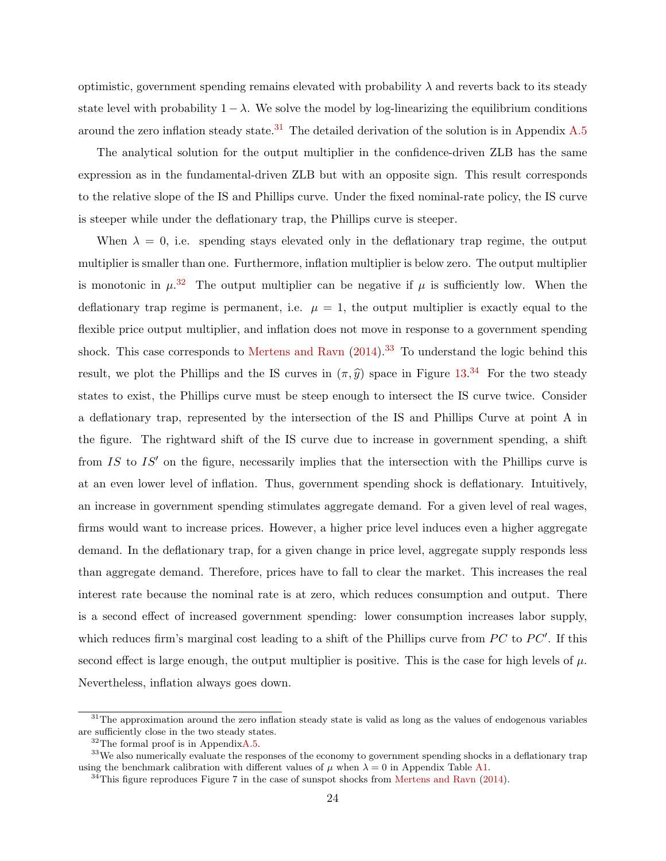optimistic, government spending remains elevated with probability  $\lambda$  and reverts back to its steady state level with probability  $1 - \lambda$ . We solve the model by log-linearizing the equilibrium conditions around the zero inflation steady state.<sup>[31](#page-24-0)</sup> The detailed derivation of the solution is in Appendix  $A.5$ 

The analytical solution for the output multiplier in the confidence-driven ZLB has the same expression as in the fundamental-driven ZLB but with an opposite sign. This result corresponds to the relative slope of the IS and Phillips curve. Under the fixed nominal-rate policy, the IS curve is steeper while under the deflationary trap, the Phillips curve is steeper.

When  $\lambda = 0$ , i.e. spending stays elevated only in the deflationary trap regime, the output multiplier is smaller than one. Furthermore, inflation multiplier is below zero. The output multiplier is monotonic in  $\mu^{32}$  $\mu^{32}$  $\mu^{32}$  The output multiplier can be negative if  $\mu$  is sufficiently low. When the deflationary trap regime is permanent, i.e.  $\mu = 1$ , the output multiplier is exactly equal to the flexible price output multiplier, and inflation does not move in response to a government spending shock. This case corresponds to [Mertens and Ravn](#page-28-1)  $(2014).^{33}$  $(2014).^{33}$  $(2014).^{33}$  $(2014).^{33}$  To understand the logic behind this result, we plot the Phillips and the IS curves in  $(\pi, \hat{y})$  space in Figure [13.](#page-50-0)<sup>[34](#page-24-3)</sup> For the two steady states to exist, the Phillips curve must be steep enough to intersect the IS curve twice. Consider a deflationary trap, represented by the intersection of the IS and Phillips Curve at point A in the figure. The rightward shift of the IS curve due to increase in government spending, a shift from  $IS$  to  $IS'$  on the figure, necessarily implies that the intersection with the Phillips curve is at an even lower level of inflation. Thus, government spending shock is deflationary. Intuitively, an increase in government spending stimulates aggregate demand. For a given level of real wages, firms would want to increase prices. However, a higher price level induces even a higher aggregate demand. In the deflationary trap, for a given change in price level, aggregate supply responds less than aggregate demand. Therefore, prices have to fall to clear the market. This increases the real interest rate because the nominal rate is at zero, which reduces consumption and output. There is a second effect of increased government spending: lower consumption increases labor supply, which reduces firm's marginal cost leading to a shift of the Phillips curve from  $PC$  to  $PC'$ . If this second effect is large enough, the output multiplier is positive. This is the case for high levels of  $\mu$ . Nevertheless, inflation always goes down.

<span id="page-24-0"></span> $31$ The approximation around the zero inflation steady state is valid as long as the values of endogenous variables are sufficiently close in the two steady states.

<span id="page-24-2"></span><span id="page-24-1"></span> $32$ The formal proof is in Appendi[xA.5.](#page-36-0)

<sup>&</sup>lt;sup>33</sup>We also numerically evaluate the responses of the economy to government spending shocks in a deflationary trap using the benchmark calibration with different values of  $\mu$  when  $\lambda = 0$  in Appendix Table [A1.](#page-54-0)

<span id="page-24-3"></span><sup>&</sup>lt;sup>34</sup>This figure reproduces Figure 7 in the case of sunspot shocks from [Mertens and Ravn](#page-28-1) [\(2014\)](#page-28-1).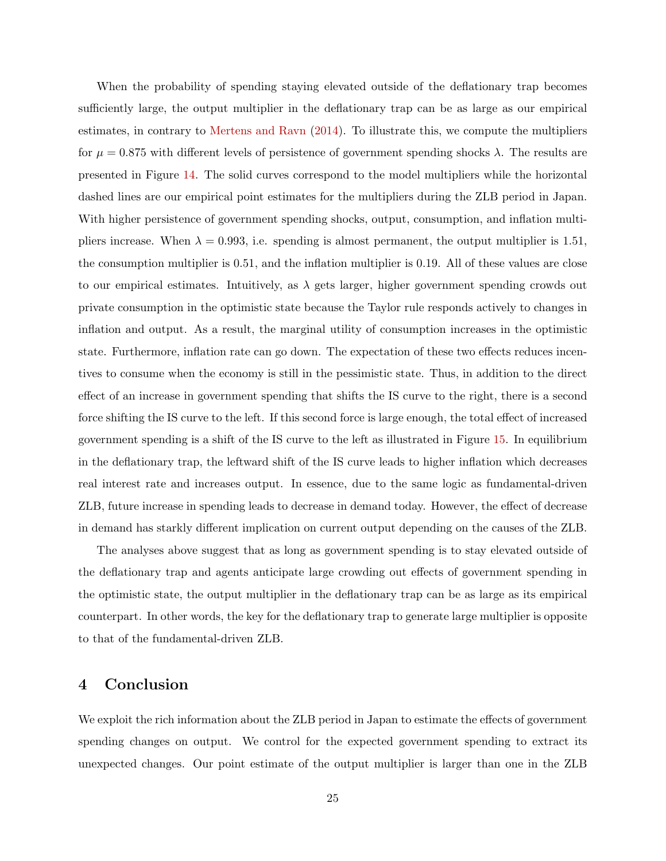When the probability of spending staying elevated outside of the deflationary trap becomes sufficiently large, the output multiplier in the deflationary trap can be as large as our empirical estimates, in contrary to [Mertens and Ravn](#page-28-1) [\(2014\)](#page-28-1). To illustrate this, we compute the multipliers for  $\mu = 0.875$  with different levels of persistence of government spending shocks  $\lambda$ . The results are presented in Figure [14.](#page-50-1) The solid curves correspond to the model multipliers while the horizontal dashed lines are our empirical point estimates for the multipliers during the ZLB period in Japan. With higher persistence of government spending shocks, output, consumption, and inflation multipliers increase. When  $\lambda = 0.993$ , i.e. spending is almost permanent, the output multiplier is 1.51, the consumption multiplier is 0.51, and the inflation multiplier is 0.19. All of these values are close to our empirical estimates. Intuitively, as  $\lambda$  gets larger, higher government spending crowds out private consumption in the optimistic state because the Taylor rule responds actively to changes in inflation and output. As a result, the marginal utility of consumption increases in the optimistic state. Furthermore, inflation rate can go down. The expectation of these two effects reduces incentives to consume when the economy is still in the pessimistic state. Thus, in addition to the direct effect of an increase in government spending that shifts the IS curve to the right, there is a second force shifting the IS curve to the left. If this second force is large enough, the total effect of increased government spending is a shift of the IS curve to the left as illustrated in Figure [15.](#page-51-0) In equilibrium in the deflationary trap, the leftward shift of the IS curve leads to higher inflation which decreases real interest rate and increases output. In essence, due to the same logic as fundamental-driven ZLB, future increase in spending leads to decrease in demand today. However, the effect of decrease in demand has starkly different implication on current output depending on the causes of the ZLB.

The analyses above suggest that as long as government spending is to stay elevated outside of the deflationary trap and agents anticipate large crowding out effects of government spending in the optimistic state, the output multiplier in the deflationary trap can be as large as its empirical counterpart. In other words, the key for the deflationary trap to generate large multiplier is opposite to that of the fundamental-driven ZLB.

# 4 Conclusion

We exploit the rich information about the ZLB period in Japan to estimate the effects of government spending changes on output. We control for the expected government spending to extract its unexpected changes. Our point estimate of the output multiplier is larger than one in the ZLB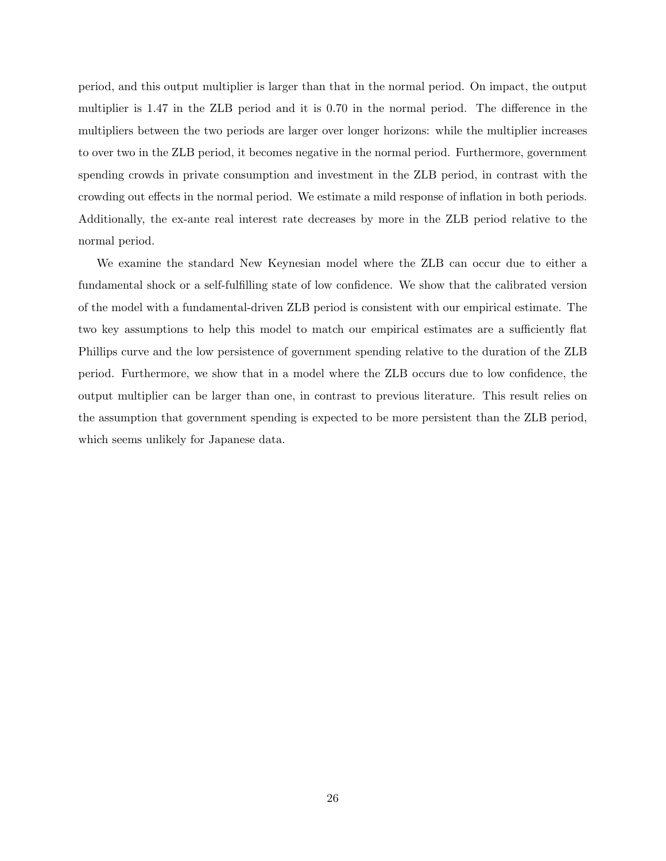period, and this output multiplier is larger than that in the normal period. On impact, the output multiplier is 1.47 in the ZLB period and it is 0.70 in the normal period. The difference in the multipliers between the two periods are larger over longer horizons: while the multiplier increases to over two in the ZLB period, it becomes negative in the normal period. Furthermore, government spending crowds in private consumption and investment in the ZLB period, in contrast with the crowding out effects in the normal period. We estimate a mild response of inflation in both periods. Additionally, the ex-ante real interest rate decreases by more in the ZLB period relative to the normal period.

We examine the standard New Keynesian model where the ZLB can occur due to either a fundamental shock or a self-fulfilling state of low confidence. We show that the calibrated version of the model with a fundamental-driven ZLB period is consistent with our empirical estimate. The two key assumptions to help this model to match our empirical estimates are a sufficiently flat Phillips curve and the low persistence of government spending relative to the duration of the ZLB period. Furthermore, we show that in a model where the ZLB occurs due to low confidence, the output multiplier can be larger than one, in contrast to previous literature. This result relies on the assumption that government spending is expected to be more persistent than the ZLB period, which seems unlikely for Japanese data.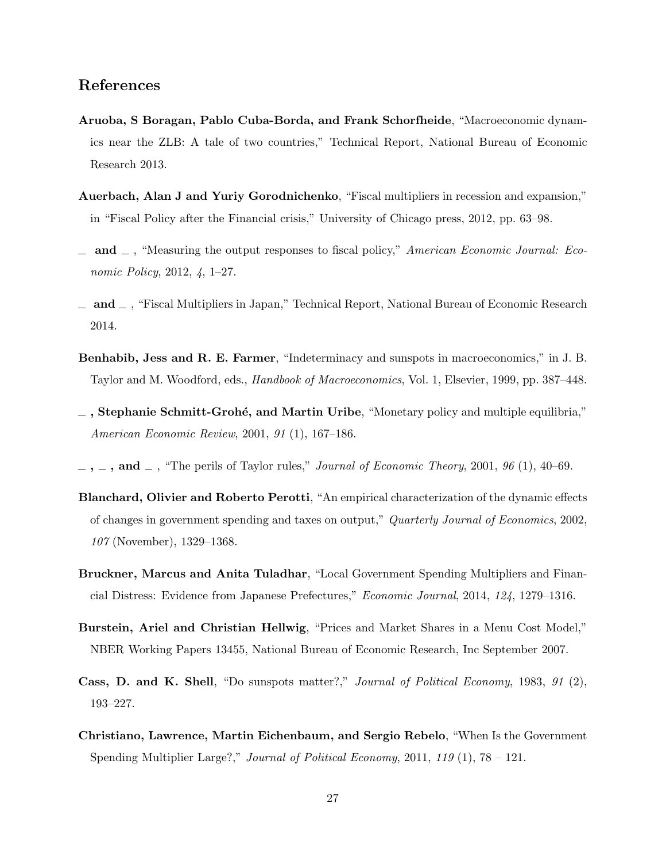# References

- <span id="page-27-2"></span>Aruoba, S Boragan, Pablo Cuba-Borda, and Frank Schorfheide, "Macroeconomic dynamics near the ZLB: A tale of two countries," Technical Report, National Bureau of Economic Research 2013.
- <span id="page-27-1"></span>Auerbach, Alan J and Yuriy Gorodnichenko, "Fiscal multipliers in recession and expansion," in "Fiscal Policy after the Financial crisis," University of Chicago press, 2012, pp. 63–98.
- <span id="page-27-5"></span>and  $\Box$ , "Measuring the output responses to fiscal policy," American Economic Journal: Economic Policy, 2012, 4, 1–27.
- <span id="page-27-6"></span> $a_1$  and  $a_2$ , "Fiscal Multipliers in Japan," Technical Report, National Bureau of Economic Research 2014.
- <span id="page-27-11"></span>Benhabib, Jess and R. E. Farmer, "Indeterminacy and sunspots in macroeconomics," in J. B. Taylor and M. Woodford, eds., Handbook of Macroeconomics, Vol. 1, Elsevier, 1999, pp. 387–448.
- <span id="page-27-3"></span> $\Box$ , Stephanie Schmitt-Grohé, and Martin Uribe, "Monetary policy and multiple equilibria," American Economic Review, 2001, 91 (1), 167–186.
- <span id="page-27-4"></span> $\ldots$ ,  $\ldots$ , and  $\ldots$ , "The perils of Taylor rules," *Journal of Economic Theory*, 2001, 96 (1), 40–69.
- <span id="page-27-8"></span>Blanchard, Olivier and Roberto Perotti, "An empirical characterization of the dynamic effects of changes in government spending and taxes on output," Quarterly Journal of Economics, 2002, 107 (November), 1329–1368.
- <span id="page-27-7"></span>Bruckner, Marcus and Anita Tuladhar, "Local Government Spending Multipliers and Financial Distress: Evidence from Japanese Prefectures," Economic Journal, 2014, 124, 1279–1316.
- <span id="page-27-9"></span>Burstein, Ariel and Christian Hellwig, "Prices and Market Shares in a Menu Cost Model," NBER Working Papers 13455, National Bureau of Economic Research, Inc September 2007.
- <span id="page-27-10"></span>Cass, D. and K. Shell, "Do sunspots matter?," Journal of Political Economy, 1983, 91 (2), 193–227.
- <span id="page-27-0"></span>Christiano, Lawrence, Martin Eichenbaum, and Sergio Rebelo, "When Is the Government Spending Multiplier Large?," Journal of Political Economy, 2011, 119  $(1)$ , 78 – 121.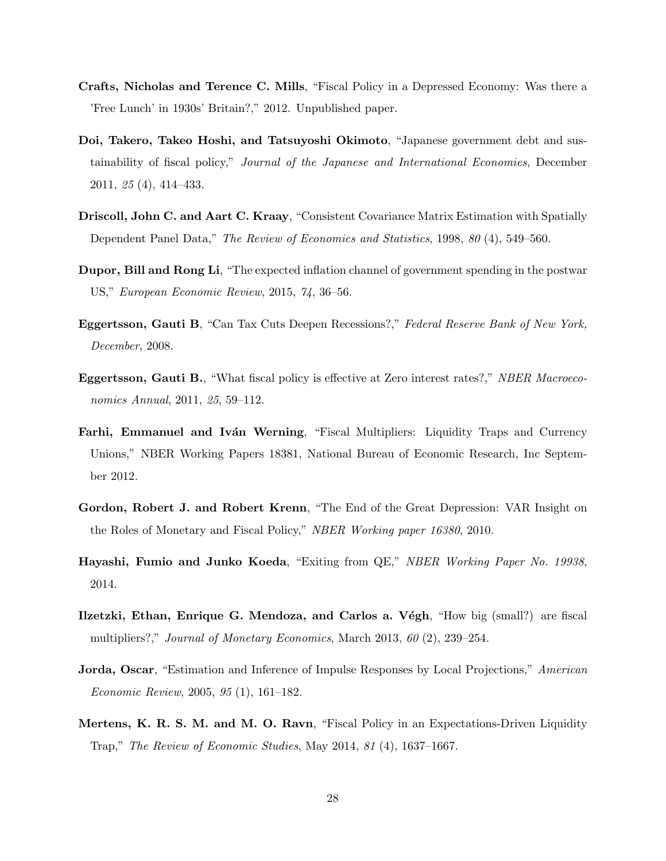- <span id="page-28-4"></span>Crafts, Nicholas and Terence C. Mills, "Fiscal Policy in a Depressed Economy: Was there a 'Free Lunch' in 1930s' Britain?," 2012. Unpublished paper.
- <span id="page-28-8"></span>Doi, Takero, Takeo Hoshi, and Tatsuyoshi Okimoto, "Japanese government debt and sustainability of fiscal policy," Journal of the Japanese and International Economies, December 2011, 25 (4), 414–433.
- <span id="page-28-7"></span>Driscoll, John C. and Aart C. Kraay, "Consistent Covariance Matrix Estimation with Spatially Dependent Panel Data," The Review of Economics and Statistics, 1998, 80 (4), 549–560.
- <span id="page-28-5"></span>Dupor, Bill and Rong Li, "The expected inflation channel of government spending in the postwar US," European Economic Review, 2015, 74, 36–56.
- <span id="page-28-3"></span>Eggertsson, Gauti B, "Can Tax Cuts Deepen Recessions?," Federal Reserve Bank of New York, December, 2008.
- <span id="page-28-0"></span>Eggertsson, Gauti B., "What fiscal policy is effective at Zero interest rates?," NBER Macroeconomics Annual, 2011, 25, 59–112.
- <span id="page-28-11"></span>**Farhi, Emmanuel and Iván Werning, "Fiscal Multipliers: Liquidity Traps and Currency** Unions," NBER Working Papers 18381, National Bureau of Economic Research, Inc September 2012.
- <span id="page-28-9"></span>Gordon, Robert J. and Robert Krenn, "The End of the Great Depression: VAR Insight on the Roles of Monetary and Fiscal Policy," NBER Working paper 16380, 2010.
- <span id="page-28-10"></span>Hayashi, Fumio and Junko Koeda, "Exiting from QE," NBER Working Paper No. 19938, 2014.
- <span id="page-28-6"></span>Ilzetzki, Ethan, Enrique G. Mendoza, and Carlos a. Végh, "How big (small?) are fiscal multipliers?," *Journal of Monetary Economics*, March 2013, 60 (2), 239–254.
- <span id="page-28-2"></span>Jorda, Oscar, "Estimation and Inference of Impulse Responses by Local Projections," American Economic Review, 2005, 95 (1), 161–182.
- <span id="page-28-1"></span>Mertens, K. R. S. M. and M. O. Ravn, "Fiscal Policy in an Expectations-Driven Liquidity Trap," The Review of Economic Studies, May 2014, 81 (4), 1637–1667.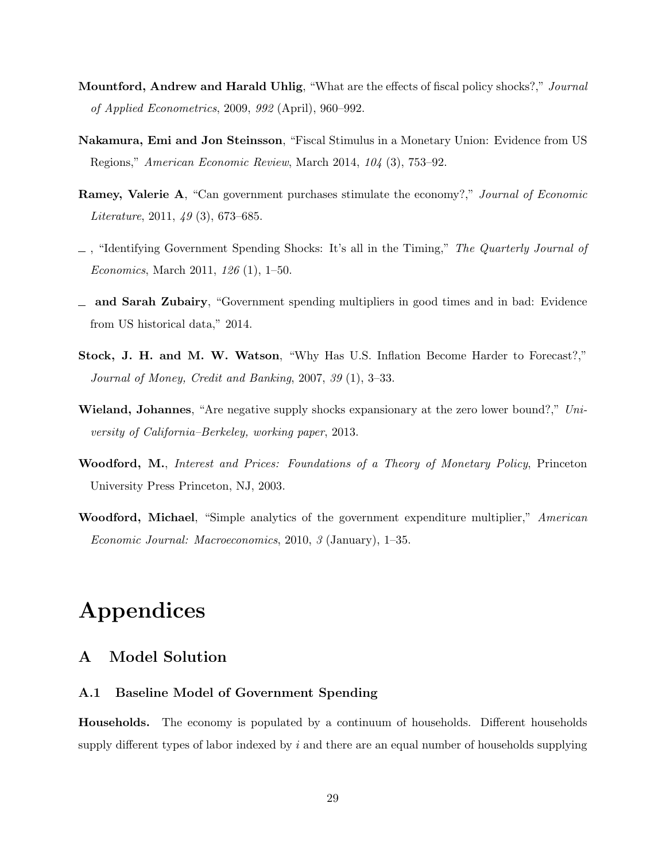- <span id="page-29-7"></span>Mountford, Andrew and Harald Uhlig, "What are the effects of fiscal policy shocks?," Journal of Applied Econometrics, 2009, 992 (April), 960–992.
- <span id="page-29-5"></span>Nakamura, Emi and Jon Steinsson, "Fiscal Stimulus in a Monetary Union: Evidence from US Regions," American Economic Review, March 2014, 104 (3), 753–92.
- <span id="page-29-3"></span>Ramey, Valerie A, "Can government purchases stimulate the economy?," Journal of Economic Literature, 2011, 49 (3), 673–685.
- <span id="page-29-4"></span> $\Box$ , "Identifying Government Spending Shocks: It's all in the Timing," The Quarterly Journal of Economics, March 2011, 126 (1), 1–50.
- <span id="page-29-1"></span>and Sarah Zubairy, "Government spending multipliers in good times and in bad: Evidence from US historical data," 2014.
- <span id="page-29-2"></span>Stock, J. H. and M. W. Watson, "Why Has U.S. Inflation Become Harder to Forecast?," Journal of Money, Credit and Banking, 2007, 39 (1), 3–33.
- <span id="page-29-6"></span>**Wieland, Johannes**, "Are negative supply shocks expansionary at the zero lower bound?," University of California–Berkeley, working paper, 2013.
- <span id="page-29-8"></span>Woodford, M., Interest and Prices: Foundations of a Theory of Monetary Policy, Princeton University Press Princeton, NJ, 2003.
- <span id="page-29-0"></span>Woodford, Michael, "Simple analytics of the government expenditure multiplier," American Economic Journal: Macroeconomics, 2010, 3 (January), 1–35.

# Appendices

# <span id="page-29-10"></span>A Model Solution

## <span id="page-29-9"></span>A.1 Baseline Model of Government Spending

Households. The economy is populated by a continuum of households. Different households supply different types of labor indexed by  $i$  and there are an equal number of households supplying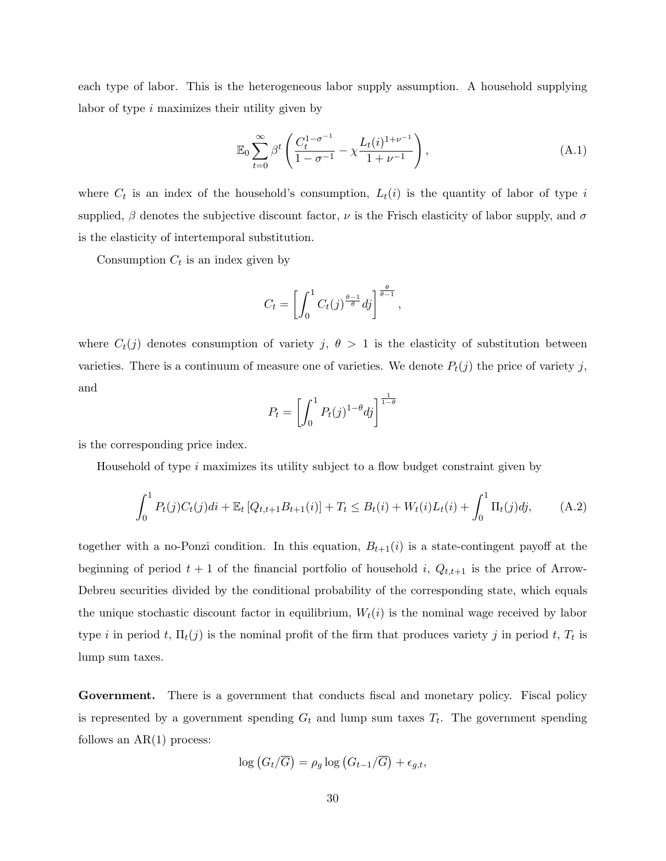each type of labor. This is the heterogeneous labor supply assumption. A household supplying labor of type i maximizes their utility given by

$$
\mathbb{E}_0 \sum_{t=0}^{\infty} \beta^t \left( \frac{C_t^{1-\sigma^{-1}}}{1-\sigma^{-1}} - \chi \frac{L_t(i)^{1+\nu^{-1}}}{1+\nu^{-1}} \right), \tag{A.1}
$$

where  $C_t$  is an index of the household's consumption,  $L_t(i)$  is the quantity of labor of type i supplied,  $\beta$  denotes the subjective discount factor,  $\nu$  is the Frisch elasticity of labor supply, and  $\sigma$ is the elasticity of intertemporal substitution.

Consumption  $C_t$  is an index given by

$$
C_t = \left[ \int_0^1 C_t(j)^{\frac{\theta - 1}{\theta}} dj \right]^{\frac{\theta}{\theta - 1}},
$$

where  $C_t(j)$  denotes consumption of variety j,  $\theta > 1$  is the elasticity of substitution between varieties. There is a continuum of measure one of varieties. We denote  $P_t(j)$  the price of variety j, and

$$
P_t = \left[ \int_0^1 P_t(j)^{1-\theta} dj \right]^{\frac{1}{1-\theta}}
$$

is the corresponding price index.

Household of type  $i$  maximizes its utility subject to a flow budget constraint given by

$$
\int_0^1 P_t(j)C_t(j)di + \mathbb{E}_t [Q_{t,t+1}B_{t+1}(i)] + T_t \leq B_t(i) + W_t(i)L_t(i) + \int_0^1 \Pi_t(j)dj, \tag{A.2}
$$

together with a no-Ponzi condition. In this equation,  $B_{t+1}(i)$  is a state-contingent payoff at the beginning of period  $t + 1$  of the financial portfolio of household i,  $Q_{t,t+1}$  is the price of Arrow-Debreu securities divided by the conditional probability of the corresponding state, which equals the unique stochastic discount factor in equilibrium,  $W_t(i)$  is the nominal wage received by labor type *i* in period *t*,  $\Pi_t(j)$  is the nominal profit of the firm that produces variety *j* in period *t*,  $T_t$  is lump sum taxes.

Government. There is a government that conducts fiscal and monetary policy. Fiscal policy is represented by a government spending  $G_t$  and lump sum taxes  $T_t$ . The government spending follows an  $AR(1)$  process:

$$
\log\left(G_t/\overline{G}\right) = \rho_g \log\left(G_{t-1}/\overline{G}\right) + \epsilon_{g,t},
$$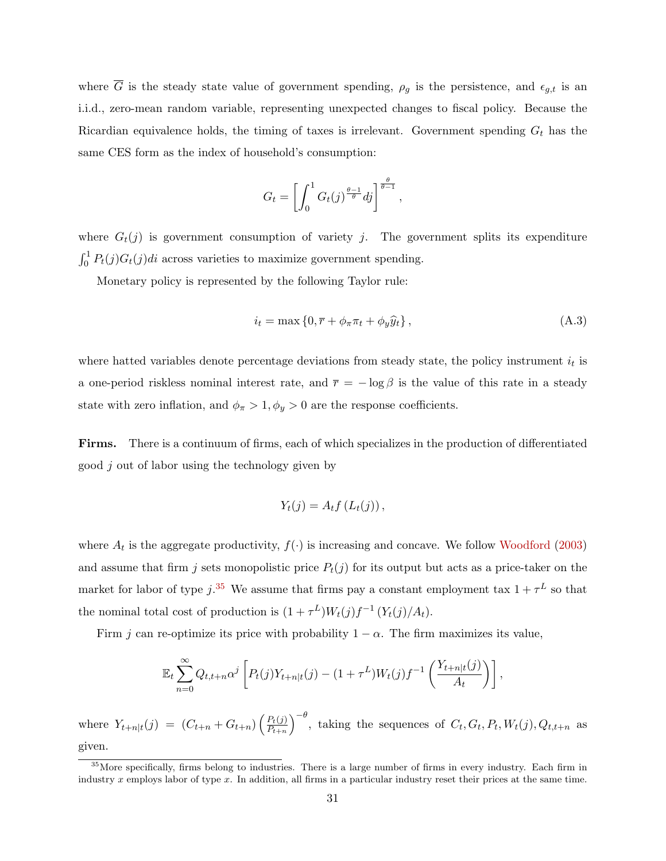where  $\overline{G}$  is the steady state value of government spending,  $\rho_g$  is the persistence, and  $\epsilon_{g,t}$  is an i.i.d., zero-mean random variable, representing unexpected changes to fiscal policy. Because the Ricardian equivalence holds, the timing of taxes is irrelevant. Government spending  $G_t$  has the same CES form as the index of household's consumption:

$$
G_t = \left[ \int_0^1 G_t(j)^{\frac{\theta - 1}{\theta}} dj \right]^{\frac{\theta}{\theta - 1}},
$$

where  $G_t(j)$  is government consumption of variety j. The government splits its expenditure  $\int_0^1 P_t(j)G_t(j)di$  across varieties to maximize government spending.

Monetary policy is represented by the following Taylor rule:

$$
i_t = \max\left\{0, \overline{r} + \phi_\pi \pi_t + \phi_y \widehat{y}_t\right\},\tag{A.3}
$$

where hatted variables denote percentage deviations from steady state, the policy instrument  $i_t$  is a one-period riskless nominal interest rate, and  $\bar{r} = -\log \beta$  is the value of this rate in a steady state with zero inflation, and  $\phi_{\pi} > 1, \phi_y > 0$  are the response coefficients.

Firms. There is a continuum of firms, each of which specializes in the production of differentiated good j out of labor using the technology given by

$$
Y_t(j) = A_t f\left(L_t(j)\right),
$$

where  $A_t$  is the aggregate productivity,  $f(\cdot)$  is increasing and concave. We follow [Woodford](#page-29-8) [\(2003\)](#page-29-8) and assume that firm j sets monopolistic price  $P_t(j)$  for its output but acts as a price-taker on the market for labor of type  $j^{0.35}$  $j^{0.35}$  $j^{0.35}$  We assume that firms pay a constant employment tax  $1+\tau^L$  so that the nominal total cost of production is  $(1 + \tau^L)W_t(j)f^{-1}(Y_t(j)/A_t)$ .

Firm j can re-optimize its price with probability  $1 - \alpha$ . The firm maximizes its value,

$$
\mathbb{E}_t \sum_{n=0}^{\infty} Q_{t,t+n} \alpha^j \left[ P_t(j) Y_{t+n|t}(j) - (1+\tau^L) W_t(j) f^{-1} \left( \frac{Y_{t+n|t}(j)}{A_t} \right) \right],
$$

where  $Y_{t+n|t}(j) = (C_{t+n} + G_{t+n}) \left( \frac{P_t(j)}{P_{t+n}} \right)$  $P_{t+n}$  $\int_{0}^{-\theta}$ , taking the sequences of  $C_t$ ,  $G_t$ ,  $P_t$ ,  $W_t(j)$ ,  $Q_{t,t+n}$  as given.

<span id="page-31-0"></span> $35$  More specifically, firms belong to industries. There is a large number of firms in every industry. Each firm in industry x employs labor of type x. In addition, all firms in a particular industry reset their prices at the same time.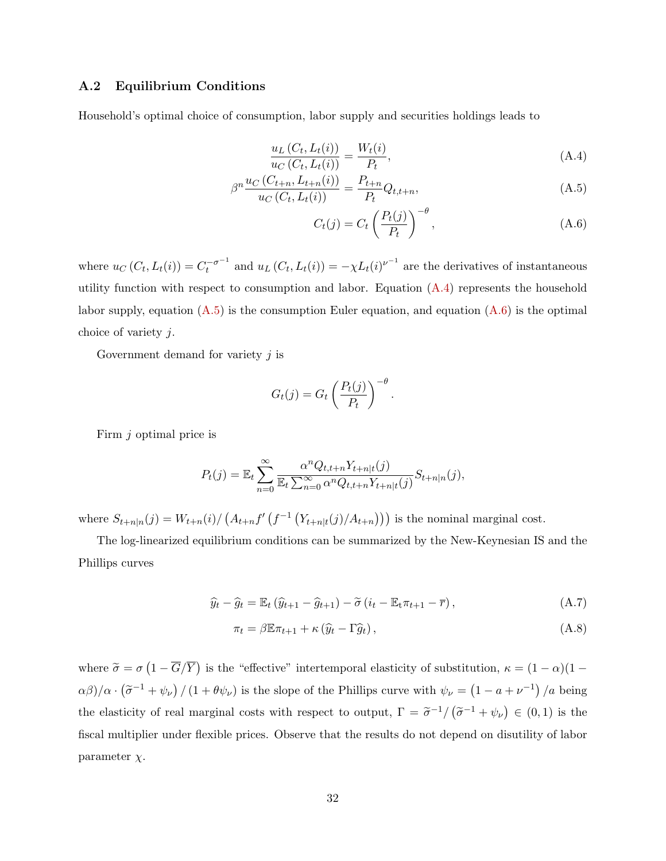## A.2 Equilibrium Conditions

Household's optimal choice of consumption, labor supply and securities holdings leads to

$$
\frac{u_L(C_t, L_t(i))}{u_C(C_t, L_t(i))} = \frac{W_t(i)}{P_t},
$$
\n(A.4)

$$
\beta^{n} \frac{u_{C}(C_{t+n}, L_{t+n}(i))}{u_{C}(C_{t}, L_{t}(i))} = \frac{P_{t+n}}{P_{t}} Q_{t,t+n},
$$
\n(A.5)

<span id="page-32-2"></span><span id="page-32-1"></span><span id="page-32-0"></span>
$$
C_t(j) = C_t \left(\frac{P_t(j)}{P_t}\right)^{-\theta},\tag{A.6}
$$

where  $u_C(C_t, L_t(i)) = C_t^{-\sigma^{-1}}$  and  $u_L(C_t, L_t(i)) = -\chi L_t(i)^{\nu^{-1}}$  are the derivatives of instantaneous utility function with respect to consumption and labor. Equation  $(A.4)$  represents the household labor supply, equation  $(A.5)$  is the consumption Euler equation, and equation  $(A.6)$  is the optimal choice of variety j.

Government demand for variety  $j$  is

$$
G_t(j) = G_t \left(\frac{P_t(j)}{P_t}\right)^{-\theta}
$$

Firm j optimal price is

$$
P_t(j) = \mathbb{E}_t \sum_{n=0}^{\infty} \frac{\alpha^n Q_{t,t+n} Y_{t+n|t}(j)}{\mathbb{E}_t \sum_{n=0}^{\infty} \alpha^n Q_{t,t+n} Y_{t+n|t}(j)} S_{t+n|n}(j),
$$

where  $S_{t+n|n}(j) = W_{t+n}(i) / (A_{t+n}f'(f^{-1}(Y_{t+n|t}(j)/A_{t+n})))$  is the nominal marginal cost.

The log-linearized equilibrium conditions can be summarized by the New-Keynesian IS and the Phillips curves

$$
\widehat{y}_t - \widehat{g}_t = \mathbb{E}_t \left( \widehat{y}_{t+1} - \widehat{g}_{t+1} \right) - \widetilde{\sigma} \left( i_t - \mathbb{E}_t \pi_{t+1} - \overline{r} \right), \tag{A.7}
$$

<span id="page-32-4"></span><span id="page-32-3"></span>.

$$
\pi_t = \beta \mathbb{E} \pi_{t+1} + \kappa \left( \widehat{y}_t - \Gamma \widehat{g}_t \right), \tag{A.8}
$$

where  $\tilde{\sigma} = \sigma \left(1 - \overline{G}/\overline{Y}\right)$  is the "effective" intertemporal elasticity of substitution,  $\kappa = (1 - \alpha)(1 - \overline{G}/\overline{Y})$  $\alpha\beta/\alpha \cdot (\tilde{\sigma}^{-1} + \psi_{\nu}) / (1 + \theta \psi_{\nu})$  is the slope of the Phillips curve with  $\psi_{\nu} = (1 - a + \nu^{-1}) / a$  being the elasticity of real marginal costs with respect to output,  $\Gamma = \tilde{\sigma}^{-1}/(\tilde{\sigma}^{-1} + \psi_{\nu}) \in (0,1)$  is the fiscal multiplier under flexible prices. Observe that the results do not depend on disutility of labor parameter  $\chi$ .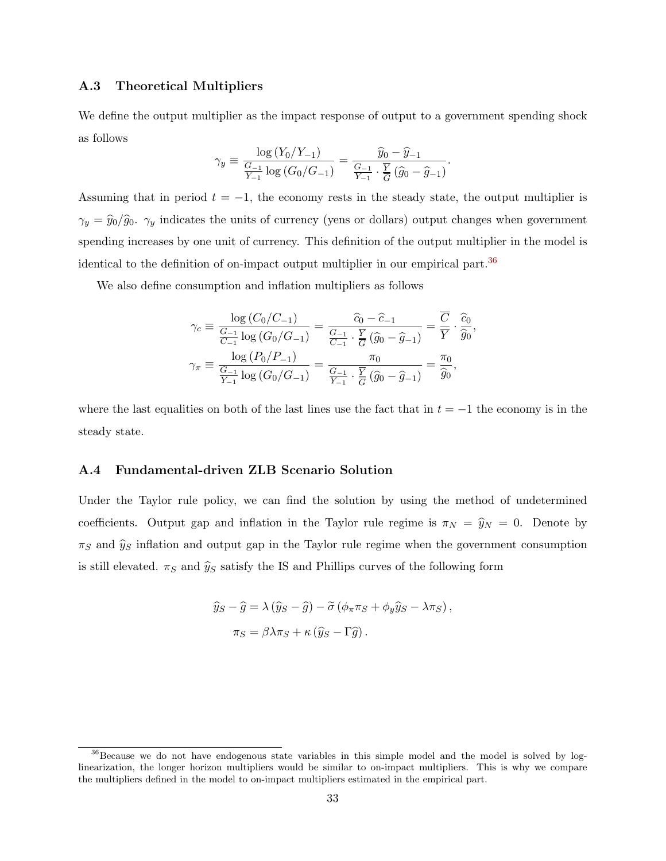### A.3 Theoretical Multipliers

We define the output multiplier as the impact response of output to a government spending shock as follows

$$
\gamma_y \equiv \frac{\log (Y_0/Y_{-1})}{\frac{G-1}{Y_{-1}}\log (G_0/G_{-1})} = \frac{\widehat{y}_0 - \widehat{y}_{-1}}{\frac{G-1}{Y_{-1}} \cdot \frac{\overline{Y}}{G}(\widehat{g}_0 - \widehat{g}_{-1})}.
$$

Assuming that in period  $t = -1$ , the economy rests in the steady state, the output multiplier is  $\gamma_y = \hat{y}_0/\hat{g}_0$ .  $\gamma_y$  indicates the units of currency (yens or dollars) output changes when government spending increases by one unit of currency. This definition of the output multiplier in the model is identical to the definition of on-impact output multiplier in our empirical part.[36](#page-33-0)

We also define consumption and inflation multipliers as follows

$$
\gamma_c \equiv \frac{\log (C_0/C_{-1})}{\frac{G_{-1}}{C_{-1}} \log (G_0/G_{-1})} = \frac{\widehat{c}_0 - \widehat{c}_{-1}}{\frac{G_{-1}}{C_{-1}} \cdot \frac{\overline{Y}}{\overline{G}} (\widehat{g}_0 - \widehat{g}_{-1})} = \frac{\overline{C}}{\overline{Y}} \cdot \frac{\widehat{c}_0}{\widehat{g}_0}
$$

$$
\gamma_{\pi} \equiv \frac{\log (P_0/P_{-1})}{\frac{G_{-1}}{Y_{-1}} \log (G_0/G_{-1})} = \frac{\pi_0}{\frac{G_{-1}}{Y_{-1}} \cdot \frac{\overline{Y}}{\overline{G}} (\widehat{g}_0 - \widehat{g}_{-1})} = \frac{\pi_0}{\widehat{g}_0},
$$

,

where the last equalities on both of the last lines use the fact that in  $t = -1$  the economy is in the steady state.

#### <span id="page-33-1"></span>A.4 Fundamental-driven ZLB Scenario Solution

Under the Taylor rule policy, we can find the solution by using the method of undetermined coefficients. Output gap and inflation in the Taylor rule regime is  $\pi_N = \hat{y}_N = 0$ . Denote by  $\pi_S$  and  $\hat{y}_S$  inflation and output gap in the Taylor rule regime when the government consumption is still elevated.  $\pi_S$  and  $\hat{y}_S$  satisfy the IS and Phillips curves of the following form

$$
\hat{y}_S - \hat{g} = \lambda (\hat{y}_S - \hat{g}) - \tilde{\sigma} (\phi_\pi \pi_S + \phi_y \hat{y}_S - \lambda \pi_S),
$$
  

$$
\pi_S = \beta \lambda \pi_S + \kappa (\hat{y}_S - \Gamma \hat{g}).
$$

<span id="page-33-0"></span><sup>&</sup>lt;sup>36</sup>Because we do not have endogenous state variables in this simple model and the model is solved by loglinearization, the longer horizon multipliers would be similar to on-impact multipliers. This is why we compare the multipliers defined in the model to on-impact multipliers estimated in the empirical part.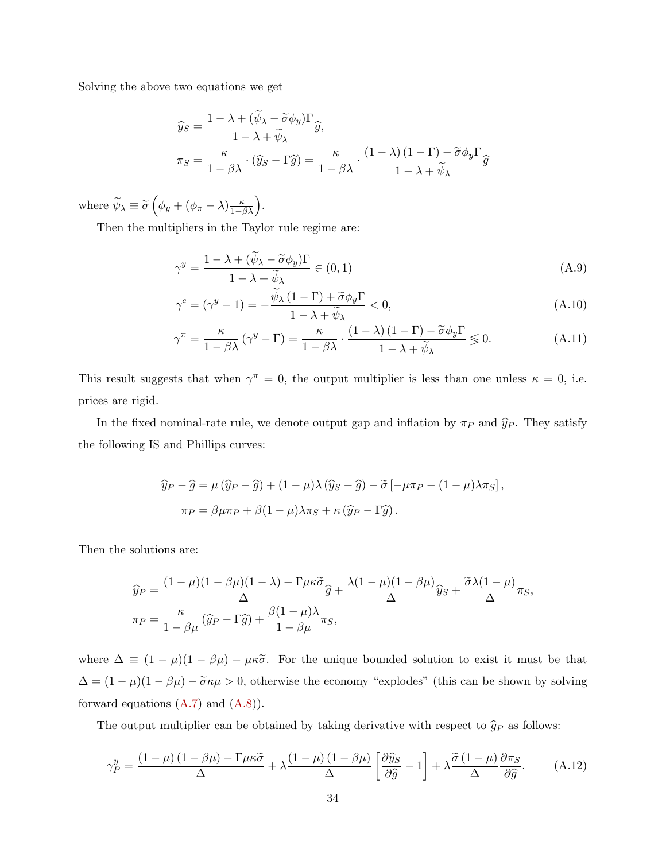Solving the above two equations we get

$$
\widehat{y}_{S} = \frac{1 - \lambda + (\widetilde{\psi}_{\lambda} - \widetilde{\sigma}\phi_{y})\Gamma}{1 - \lambda + \widetilde{\psi}_{\lambda}}\widehat{g},
$$
\n
$$
\pi_{S} = \frac{\kappa}{1 - \beta\lambda} \cdot (\widehat{y}_{S} - \Gamma\widehat{g}) = \frac{\kappa}{1 - \beta\lambda} \cdot \frac{(1 - \lambda)(1 - \Gamma) - \widetilde{\sigma}\phi_{y}\Gamma}{1 - \lambda + \widetilde{\psi}_{\lambda}}\widehat{g}
$$

where  $\widetilde{\psi}_{\lambda} \equiv \widetilde{\sigma} \left( \phi_y + (\phi_{\pi} - \lambda) \frac{\kappa}{1 - \beta \lambda} \right)$ .

Then the multipliers in the Taylor rule regime are:

<span id="page-34-0"></span>
$$
\gamma^y = \frac{1 - \lambda + (\tilde{\psi}_\lambda - \tilde{\sigma}\phi_y)\Gamma}{1 - \lambda + \tilde{\psi}_\lambda} \in (0, 1)
$$
\n(A.9)

<span id="page-34-1"></span>
$$
\gamma^{c} = (\gamma^{y} - 1) = -\frac{\widetilde{\psi}_{\lambda} (1 - \Gamma) + \widetilde{\sigma} \phi_{y} \Gamma}{1 - \lambda + \widetilde{\psi}_{\lambda}} < 0,
$$
\n(A.10)

$$
\gamma^{\pi} = \frac{\kappa}{1 - \beta \lambda} \left( \gamma^y - \Gamma \right) = \frac{\kappa}{1 - \beta \lambda} \cdot \frac{\left( 1 - \lambda \right) \left( 1 - \Gamma \right) - \tilde{\sigma} \phi_y \Gamma}{1 - \lambda + \tilde{\psi}_{\lambda}} \le 0.
$$
 (A.11)

This result suggests that when  $\gamma^{\pi} = 0$ , the output multiplier is less than one unless  $\kappa = 0$ , i.e. prices are rigid.

In the fixed nominal-rate rule, we denote output gap and inflation by  $\pi_P$  and  $\hat{y}_P$ . They satisfy the following IS and Phillips curves:

$$
\hat{y}_P - \hat{g} = \mu (\hat{y}_P - \hat{g}) + (1 - \mu)\lambda (\hat{y}_S - \hat{g}) - \tilde{\sigma} [-\mu \pi_P - (1 - \mu)\lambda \pi_S],
$$
  

$$
\pi_P = \beta \mu \pi_P + \beta (1 - \mu)\lambda \pi_S + \kappa (\hat{y}_P - \Gamma \hat{g}).
$$

Then the solutions are:

$$
\widehat{y}_P = \frac{(1 - \mu)(1 - \beta \mu)(1 - \lambda) - \Gamma \mu \kappa \widetilde{\sigma}}{\Delta} \widehat{g} + \frac{\lambda (1 - \mu)(1 - \beta \mu)}{\Delta} \widehat{y}_S + \frac{\widetilde{\sigma} \lambda (1 - \mu)}{\Delta} \pi_S,
$$
  
\n
$$
\pi_P = \frac{\kappa}{1 - \beta \mu} (\widehat{y}_P - \Gamma \widehat{g}) + \frac{\beta (1 - \mu)\lambda}{1 - \beta \mu} \pi_S,
$$

where  $\Delta \equiv (1 - \mu)(1 - \beta \mu) - \mu \kappa \tilde{\sigma}$ . For the unique bounded solution to exist it must be that  $\Delta = (1 - \mu)(1 - \beta \mu) - \tilde{\sigma} \kappa \mu > 0$ , otherwise the economy "explodes" (this can be shown by solving forward equations  $(A.7)$  and  $(A.8)$ ).

The output multiplier can be obtained by taking derivative with respect to  $\hat{g}_P$  as follows:

<span id="page-34-2"></span>
$$
\gamma_P^y = \frac{(1-\mu)(1-\beta\mu) - \Gamma\mu\kappa\tilde{\sigma}}{\Delta} + \lambda \frac{(1-\mu)(1-\beta\mu)}{\Delta} \left[\frac{\partial \hat{y}_S}{\partial \hat{g}} - 1\right] + \lambda \frac{\tilde{\sigma}(1-\mu)}{\Delta} \frac{\partial \pi_S}{\partial \hat{g}}.
$$
 (A.12)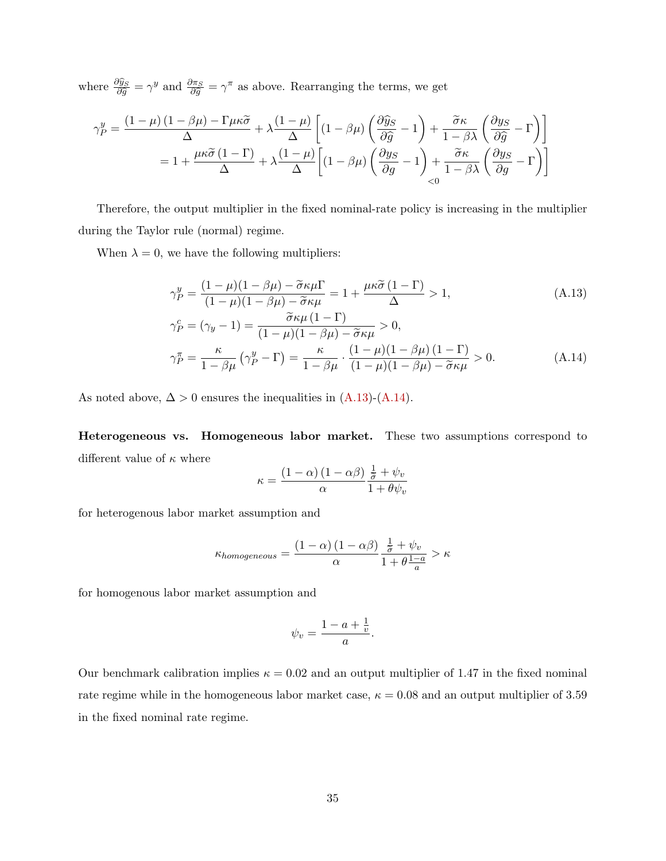where  $\frac{\partial \hat{y}_S}{\partial \hat{g}} = \gamma^y$  and  $\frac{\partial \pi_S}{\partial \hat{g}} = \gamma^{\pi}$  as above. Rearranging the terms, we get

$$
\gamma_P^y = \frac{(1-\mu)(1-\beta\mu) - \Gamma\mu\kappa\tilde{\sigma}}{\Delta} + \lambda \frac{(1-\mu)}{\Delta} \left[ (1-\beta\mu) \left( \frac{\partial \hat{y}_S}{\partial \hat{g}} - 1 \right) + \frac{\tilde{\sigma}\kappa}{1-\beta\lambda} \left( \frac{\partial y_S}{\partial \hat{g}} - \Gamma \right) \right]
$$

$$
= 1 + \frac{\mu\kappa\tilde{\sigma}(1-\Gamma)}{\Delta} + \lambda \frac{(1-\mu)}{\Delta} \left[ (1-\beta\mu) \left( \frac{\partial y_S}{\partial g} - 1 \right) + \frac{\tilde{\sigma}\kappa}{1-\beta\lambda} \left( \frac{\partial y_S}{\partial g} - \Gamma \right) \right]
$$

Therefore, the output multiplier in the fixed nominal-rate policy is increasing in the multiplier during the Taylor rule (normal) regime.

When  $\lambda = 0$ , we have the following multipliers:

$$
\gamma_P^y = \frac{(1 - \mu)(1 - \beta \mu) - \tilde{\sigma} \kappa \mu \Gamma}{(1 - \mu)(1 - \beta \mu) - \tilde{\sigma} \kappa \mu} = 1 + \frac{\mu \kappa \tilde{\sigma} (1 - \Gamma)}{\Delta} > 1,
$$
\n(A.13)

$$
\gamma_P^c = (\gamma_y - 1) = \frac{\tilde{\sigma}\kappa\mu (1 - \Gamma)}{(1 - \mu)(1 - \beta\mu) - \tilde{\sigma}\kappa\mu} > 0,
$$
  

$$
\gamma_P^{\pi} = \frac{\kappa}{1 - \beta\mu} (\gamma_P^y - \Gamma) = \frac{\kappa}{1 - \beta\mu} \cdot \frac{(1 - \mu)(1 - \beta\mu)(1 - \Gamma)}{(1 - \mu)(1 - \beta\mu) - \tilde{\sigma}\kappa\mu} > 0.
$$
 (A.14)

As noted above,  $\Delta > 0$  ensures the inequalities in  $(A.13)-(A.14)$  $(A.13)-(A.14)$ .

Heterogeneous vs. Homogeneous labor market. These two assumptions correspond to different value of  $\kappa$  where

<span id="page-35-1"></span><span id="page-35-0"></span>
$$
\kappa = \frac{(1-\alpha)\,(1-\alpha\beta)}{\alpha}\frac{\frac{1}{\tilde{\sigma}} + \psi_v}{1 + \theta\psi_v}
$$

for heterogenous labor market assumption and

$$
\kappa_{homogeneous} = \frac{\left(1-\alpha\right)\left(1-\alpha\beta\right)}{\alpha}\frac{\frac{1}{\tilde{\sigma}}+\psi_v}{1+\theta\frac{1-a}{a}} > \kappa
$$

for homogenous labor market assumption and

$$
\psi_v = \frac{1 - a + \frac{1}{v}}{a}.
$$

Our benchmark calibration implies  $\kappa = 0.02$  and an output multiplier of 1.47 in the fixed nominal rate regime while in the homogeneous labor market case,  $\kappa = 0.08$  and an output multiplier of 3.59 in the fixed nominal rate regime.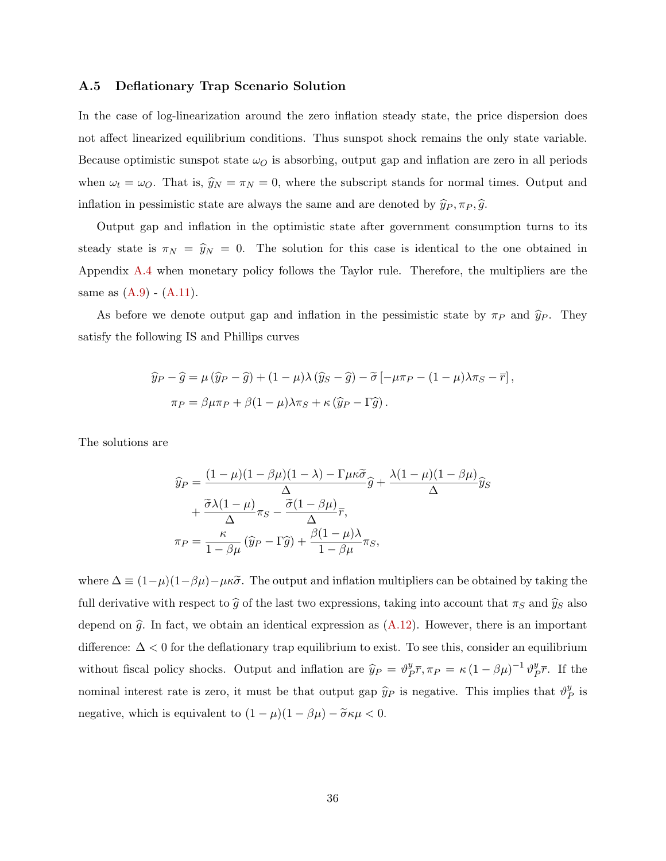#### <span id="page-36-0"></span>A.5 Deflationary Trap Scenario Solution

In the case of log-linearization around the zero inflation steady state, the price dispersion does not affect linearized equilibrium conditions. Thus sunspot shock remains the only state variable. Because optimistic sunspot state  $\omega_O$  is absorbing, output gap and inflation are zero in all periods when  $\omega_t = \omega_O$ . That is,  $\hat{y}_N = \pi_N = 0$ , where the subscript stands for normal times. Output and inflation in pessimistic state are always the same and are denoted by  $\hat{y}_P, \pi_P, \hat{g}$ .

Output gap and inflation in the optimistic state after government consumption turns to its steady state is  $\pi_N = \hat{y}_N = 0$ . The solution for this case is identical to the one obtained in Appendix [A.4](#page-33-1) when monetary policy follows the Taylor rule. Therefore, the multipliers are the same as  $(A.9) - (A.11)$  $(A.9) - (A.11)$ .

As before we denote output gap and inflation in the pessimistic state by  $\pi_P$  and  $\hat{y}_P$ . They satisfy the following IS and Phillips curves

$$
\hat{y}_P - \hat{g} = \mu (\hat{y}_P - \hat{g}) + (1 - \mu)\lambda (\hat{y}_S - \hat{g}) - \tilde{\sigma} [-\mu \pi_P - (1 - \mu)\lambda \pi_S - \bar{r}],
$$
  

$$
\pi_P = \beta \mu \pi_P + \beta (1 - \mu)\lambda \pi_S + \kappa (\hat{y}_P - \Gamma \hat{g}).
$$

The solutions are

$$
\widehat{y}_P = \frac{(1 - \mu)(1 - \beta \mu)(1 - \lambda) - \Gamma \mu \kappa \widetilde{\sigma}}{\Delta} \widehat{g} + \frac{\lambda (1 - \mu)(1 - \beta \mu)}{\Delta} \widehat{y}_S \n+ \frac{\widetilde{\sigma} \lambda (1 - \mu)}{\Delta} \pi_S - \frac{\widetilde{\sigma} (1 - \beta \mu)}{\Delta} \overline{r}, \n\pi_P = \frac{\kappa}{1 - \beta \mu} (\widehat{y}_P - \Gamma \widehat{g}) + \frac{\beta (1 - \mu)\lambda}{1 - \beta \mu} \pi_S,
$$

where  $\Delta \equiv (1-\mu)(1-\beta\mu) - \mu\kappa\tilde{\sigma}$ . The output and inflation multipliers can be obtained by taking the full derivative with respect to  $\hat{g}$  of the last two expressions, taking into account that  $\pi_S$  and  $\hat{y}_S$  also depend on  $\hat{g}$ . In fact, we obtain an identical expression as  $(A.12)$ . However, there is an important difference: ∆ < 0 for the deflationary trap equilibrium to exist. To see this, consider an equilibrium without fiscal policy shocks. Output and inflation are  $\hat{y}_P = \vartheta_P^y$  $\frac{y}{P} \overline{r}, \pi_P = \kappa \left( 1 - \beta \mu \right)^{-1} \vartheta_P^y$  $\frac{y}{P}$   $\overline{r}$ . If the nominal interest rate is zero, it must be that output gap  $\hat{y}_P$  is negative. This implies that  $\vartheta^y_P$  $_{P}^{y}$  is negative, which is equivalent to  $(1 - \mu)(1 - \beta \mu) - \tilde{\sigma} \kappa \mu < 0$ .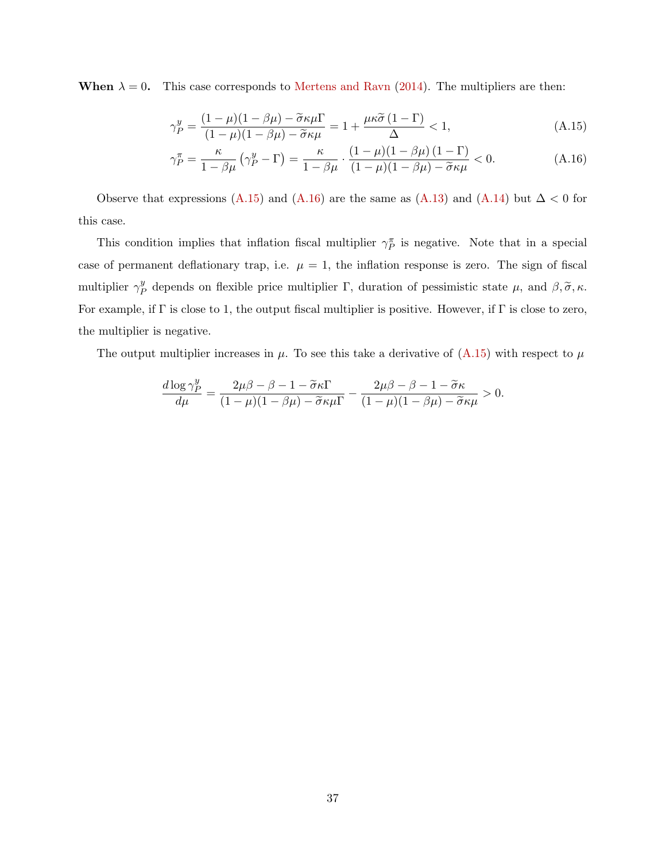When  $\lambda = 0$ . This case corresponds to [Mertens and Ravn](#page-28-1) [\(2014\)](#page-28-1). The multipliers are then:

<span id="page-37-0"></span>
$$
\gamma_P^y = \frac{(1-\mu)(1-\beta\mu) - \tilde{\sigma}\kappa\mu\Gamma}{(1-\mu)(1-\beta\mu) - \tilde{\sigma}\kappa\mu} = 1 + \frac{\mu\kappa\tilde{\sigma}(1-\Gamma)}{\Delta} < 1,
$$
\n(A.15)

<span id="page-37-1"></span>
$$
\gamma_P^{\pi} = \frac{\kappa}{1 - \beta \mu} \left( \gamma_P^y - \Gamma \right) = \frac{\kappa}{1 - \beta \mu} \cdot \frac{\left( 1 - \mu \right) \left( 1 - \beta \mu \right) \left( 1 - \Gamma \right)}{\left( 1 - \mu \right) \left( 1 - \beta \mu \right) - \tilde{\sigma} \kappa \mu} < 0. \tag{A.16}
$$

Observe that expressions [\(A.15\)](#page-37-0) and [\(A.16\)](#page-37-1) are the same as [\(A.13\)](#page-35-0) and [\(A.14\)](#page-35-1) but  $\Delta < 0$  for this case.

This condition implies that inflation fiscal multiplier  $\gamma_{P}^{\pi}$  is negative. Note that in a special case of permanent deflationary trap, i.e.  $\mu = 1$ , the inflation response is zero. The sign of fiscal multiplier  $\gamma^y_F$  $P_P^y$  depends on flexible price multiplier Γ, duration of pessimistic state  $\mu$ , and  $\beta$ ,  $\tilde{\sigma}$ ,  $\kappa$ . For example, if  $\Gamma$  is close to 1, the output fiscal multiplier is positive. However, if  $\Gamma$  is close to zero, the multiplier is negative.

The output multiplier increases in  $\mu$ . To see this take a derivative of [\(A.15\)](#page-37-0) with respect to  $\mu$ 

$$
\frac{d \log \gamma_P^y}{d \mu} = \frac{2\mu\beta - \beta - 1 - \widetilde{\sigma}\kappa\Gamma}{(1 - \mu)(1 - \beta\mu) - \widetilde{\sigma}\kappa\mu\Gamma} - \frac{2\mu\beta - \beta - 1 - \widetilde{\sigma}\kappa}{(1 - \mu)(1 - \beta\mu) - \widetilde{\sigma}\kappa\mu} > 0.
$$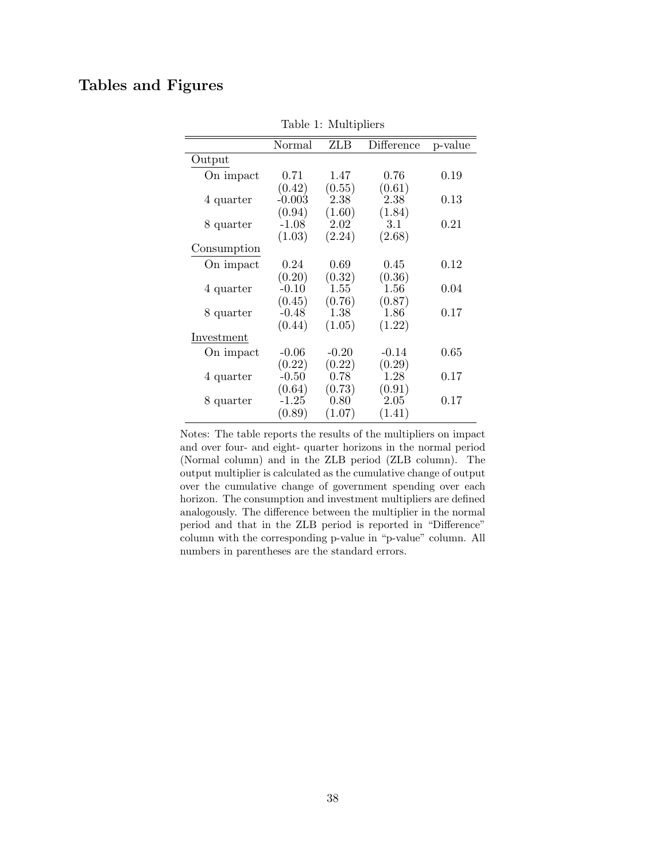# <span id="page-38-0"></span>Tables and Figures

|             | Normal   | <b>ZLB</b> | Difference | p-value |
|-------------|----------|------------|------------|---------|
| Output      |          |            |            |         |
| On impact   | 0.71     | 1.47       | 0.76       | 0.19    |
|             | (0.42)   | (0.55)     | (0.61)     |         |
| 4 quarter   | $-0.003$ | 2.38       | 2.38       | 0.13    |
|             | (0.94)   | (1.60)     | (1.84)     |         |
| 8 quarter   | $-1.08$  | 2.02       | 3.1        | 0.21    |
|             | (1.03)   | (2.24)     | (2.68)     |         |
| Consumption |          |            |            |         |
| On impact   | 0.24     | 0.69       | 0.45       | 0.12    |
|             | (0.20)   | (0.32)     | (0.36)     |         |
| 4 quarter   | $-0.10$  | 1.55       | 1.56       | 0.04    |
|             | (0.45)   | (0.76)     | (0.87)     |         |
| 8 quarter   | $-0.48$  | 1.38       | 1.86       | 0.17    |
|             | (0.44)   | (1.05)     | (1.22)     |         |
| Investment  |          |            |            |         |
| On impact   | $-0.06$  | $-0.20$    | $-0.14$    | 0.65    |
|             | (0.22)   | (0.22)     | (0.29)     |         |
| 4 quarter   | $-0.50$  | [0.78]     | 1.28       | 0.17    |
|             | (0.64)   | (0.73)     | (0.91)     |         |
| 8 quarter   | $-1.25$  | 0.80       | 2.05       | 0.17    |
|             | (0.89)   | (1.07)     | (1.41)     |         |
|             |          |            |            |         |

Table 1: Multipliers

Notes: The table reports the results of the multipliers on impact and over four- and eight- quarter horizons in the normal period (Normal column) and in the ZLB period (ZLB column). The output multiplier is calculated as the cumulative change of output over the cumulative change of government spending over each horizon. The consumption and investment multipliers are defined analogously. The difference between the multiplier in the normal period and that in the ZLB period is reported in "Difference" column with the corresponding p-value in "p-value" column. All numbers in parentheses are the standard errors.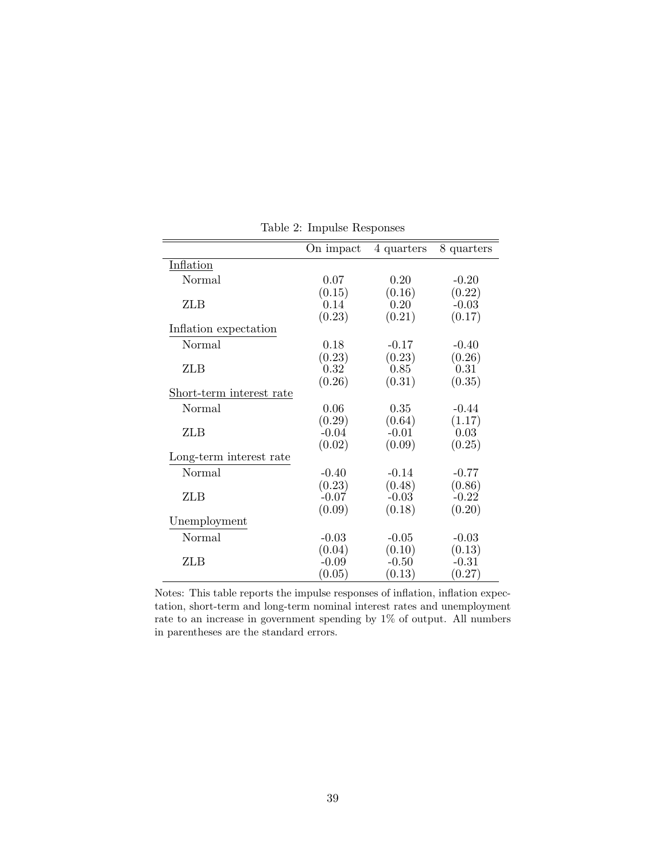<span id="page-39-0"></span>

|                          | On impact | 4 quarters | 8 quarters |
|--------------------------|-----------|------------|------------|
| Inflation                |           |            |            |
| <b>Normal</b>            | 0.07      | 0.20       | $-0.20$    |
|                          | (0.15)    | (0.16)     | (0.22)     |
| ZLB                      | 0.14      | 0.20       | $-0.03$    |
|                          | (0.23)    | (0.21)     | (0.17)     |
| Inflation expectation    |           |            |            |
| <b>Normal</b>            | 0.18      | $-0.17$    | $-0.40$    |
|                          | (0.23)    | (0.23)     | (0.26)     |
| ZLB                      | 0.32      | 0.85       | 0.31       |
|                          | (0.26)    | (0.31)     | (0.35)     |
| Short-term interest rate |           |            |            |
| Normal                   | 0.06      | 0.35       | $-0.44$    |
|                          | (0.29)    | (0.64)     | (1.17)     |
| ZLB                      | $-0.04$   | $-0.01$    | 0.03       |
|                          | (0.02)    | (0.09)     | (0.25)     |
| Long-term interest rate  |           |            |            |
| <b>Normal</b>            | $-0.40$   | $-0.14$    | $-0.77$    |
|                          | (0.23)    | (0.48)     | (0.86)     |
| ZLB                      | $-0.07$   | $-0.03$    | $-0.22$    |
|                          | (0.09)    | (0.18)     | (0.20)     |
| Unemployment             |           |            |            |
| <b>Normal</b>            | $-0.03$   | $-0.05$    | $-0.03$    |
|                          | (0.04)    | (0.10)     | (0.13)     |
| ZLB                      | $-0.09$   | $-0.50$    | $-0.31$    |
|                          | (0.05)    | (0.13)     | (0.27)     |

Table 2: Impulse Responses

Notes: This table reports the impulse responses of inflation, inflation expectation, short-term and long-term nominal interest rates and unemployment rate to an increase in government spending by 1% of output. All numbers in parentheses are the standard errors.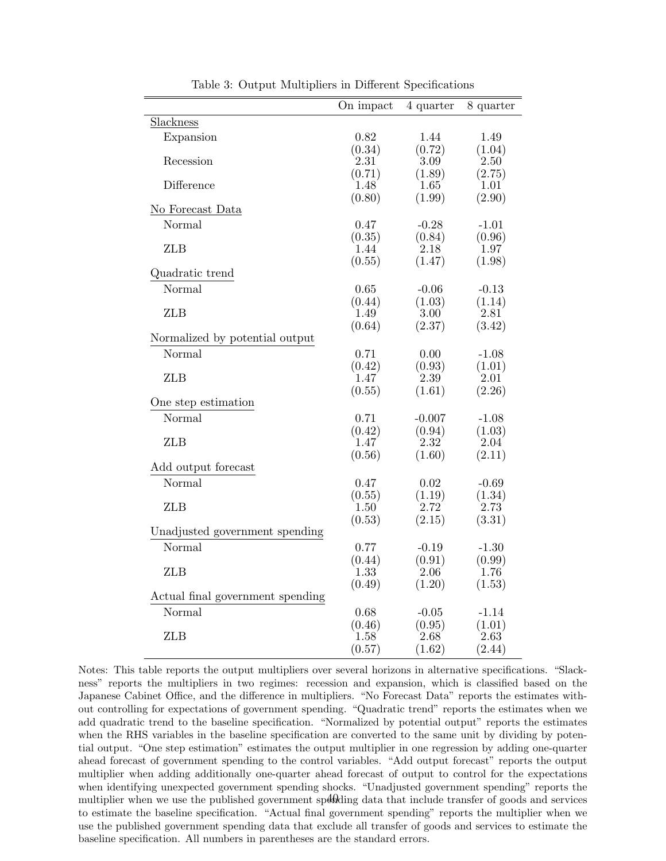<span id="page-40-0"></span>

|                                  | On impact | 4 quarter          | 8 quarter |
|----------------------------------|-----------|--------------------|-----------|
| Slackness                        |           |                    |           |
| Expansion                        | 0.82      | 1.44               | 1.49      |
|                                  | (0.34)    | (0.72)             | (1.04)    |
| Recession                        | 2.31      | 3.09               | 2.50      |
|                                  | (0.71)    | (1.89)             | (2.75)    |
| Difference                       | 1.48      | 1.65               | 1.01      |
|                                  | (0.80)    | (1.99)             | (2.90)    |
| No Forecast Data                 |           |                    |           |
| Normal                           | 0.47      | $-0.28$            | $-1.01$   |
|                                  | (0.35)    | (0.84)             | (0.96)    |
| <b>ZLB</b>                       | 1.44      | 2.18               | 1.97      |
|                                  | (0.55)    | (1.47)             | (1.98)    |
| Quadratic trend                  |           |                    |           |
| Normal                           | 0.65      | $-0.06$            | $-0.13$   |
|                                  | (0.44)    | (1.03)             | (1.14)    |
| <b>ZLB</b>                       | 1.49      | $3.00^{\degree}$   | 2.81      |
|                                  | (0.64)    | (2.37)             | (3.42)    |
| Normalized by potential output   |           |                    |           |
| Normal                           | 0.71      | 0.00               | $-1.08$   |
|                                  | (0.42)    | (0.93)             | (1.01)    |
| <b>ZLB</b>                       | 1.47      | 2.39               | 2.01      |
|                                  | (0.55)    | (1.61)             | (2.26)    |
| One step estimation              |           |                    |           |
| Normal                           | 0.71      | $-0.007$           | $-1.08$   |
|                                  | (0.42)    | (0.94)             | (1.03)    |
| <b>ZLB</b>                       | 1.47      | $2.32^{\degree}$   | 2.04      |
|                                  | (0.56)    | (1.60)             | (2.11)    |
| Add output forecast              |           |                    |           |
| Normal                           | 0.47      | 0.02               | $-0.69$   |
|                                  | (0.55)    | (1.19)             | (1.34)    |
| <b>ZLB</b>                       | 1.50      | $2.72^{^{\prime}}$ | 2.73      |
|                                  | (0.53)    | (2.15)             | (3.31)    |
| Unadjusted government spending   |           |                    |           |
| Normal                           | 0.77      | $-0.19$            | $-1.30$   |
|                                  | (0.44)    | (0.91)             | (0.99)    |
| <b>ZLB</b>                       | 1.33      | 2.06               | 1.76      |
|                                  | (0.49)    | (1.20)             | (1.53)    |
| Actual final government spending |           |                    |           |
| Normal                           | 0.68      | $-0.05$            | $-1.14$   |
|                                  | (0.46)    | (0.95)             | (1.01)    |
| <b>ZLB</b>                       | 1.58      | 2.68               | 2.63      |
|                                  | (0.57)    | (1.62)             | (2.44)    |

Table 3: Output Multipliers in Different Specifications

Notes: This table reports the output multipliers over several horizons in alternative specifications. "Slackness" reports the multipliers in two regimes: recession and expansion, which is classified based on the Japanese Cabinet Office, and the difference in multipliers. "No Forecast Data" reports the estimates without controlling for expectations of government spending. "Quadratic trend" reports the estimates when we add quadratic trend to the baseline specification. "Normalized by potential output" reports the estimates when the RHS variables in the baseline specification are converted to the same unit by dividing by potential output. "One step estimation" estimates the output multiplier in one regression by adding one-quarter ahead forecast of government spending to the control variables. "Add output forecast" reports the output multiplier when adding additionally one-quarter ahead forecast of output to control for the expectations when identifying unexpected government spending shocks. "Unadjusted government spending" reports the multiplier when we use the published government speokling data that include transfer of goods and services to estimate the baseline specification. "Actual final government spending" reports the multiplier when we use the published government spending data that exclude all transfer of goods and services to estimate the baseline specification. All numbers in parentheses are the standard errors.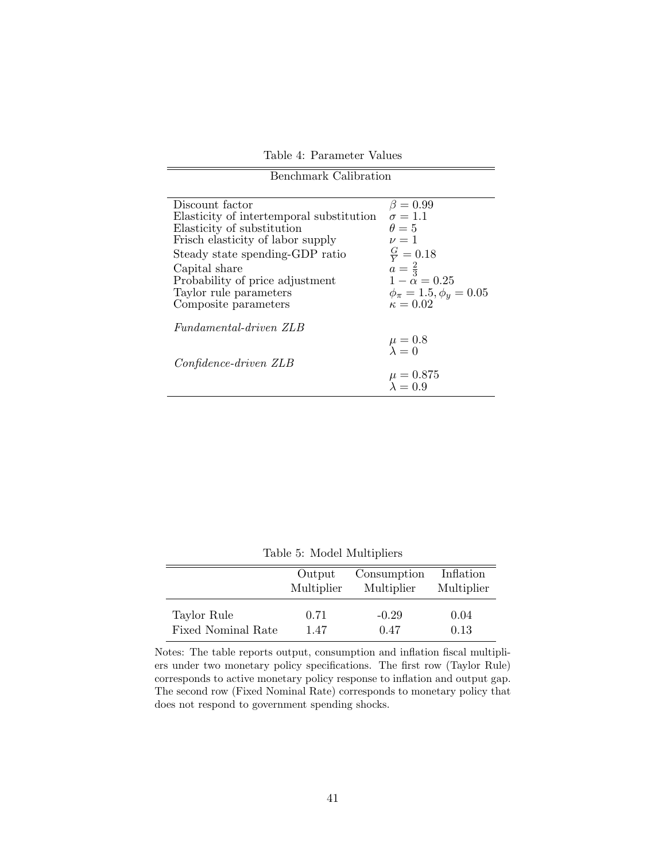Table 4: Parameter Values Benchmark Calibration

<span id="page-41-0"></span>

| Discount factor                          | $\beta = 0.99$                        |
|------------------------------------------|---------------------------------------|
| Elasticity of intertemporal substitution | $\sigma = 1.1$                        |
| Elasticity of substitution               | $\theta = 5$                          |
| Frisch elasticity of labor supply        | $\nu = 1$                             |
| Steady state spending-GDP ratio          | $\frac{G}{V} = 0.18$                  |
| Capital share                            | $a = \frac{2}{3}$                     |
| Probability of price adjustment          | $1-\alpha = 0.25$                     |
| Taylor rule parameters                   | $\phi_{\pi} = 1.5, \phi_{\pi} = 0.05$ |
| Composite parameters                     | $\kappa = 0.02$                       |
| Fundamental-driven ZLB                   |                                       |
|                                          | $\mu = 0.8$ $\lambda = 0$             |
|                                          |                                       |
| Confidence-driven ZLB                    |                                       |
|                                          | $\mu = 0.875$<br>$\lambda = 0.9$      |
|                                          |                                       |

Table 5: Model Multipliers

<span id="page-41-1"></span>

|                    | Output     | Consumption | Inflation  |
|--------------------|------------|-------------|------------|
|                    | Multiplier | Multiplier  | Multiplier |
| Taylor Rule        | 0.71       | $-0.29$     | 0.04       |
| Fixed Nominal Rate | 1.47       | 0.47        | 0.13       |

Notes: The table reports output, consumption and inflation fiscal multipliers under two monetary policy specifications. The first row (Taylor Rule) corresponds to active monetary policy response to inflation and output gap. The second row (Fixed Nominal Rate) corresponds to monetary policy that does not respond to government spending shocks.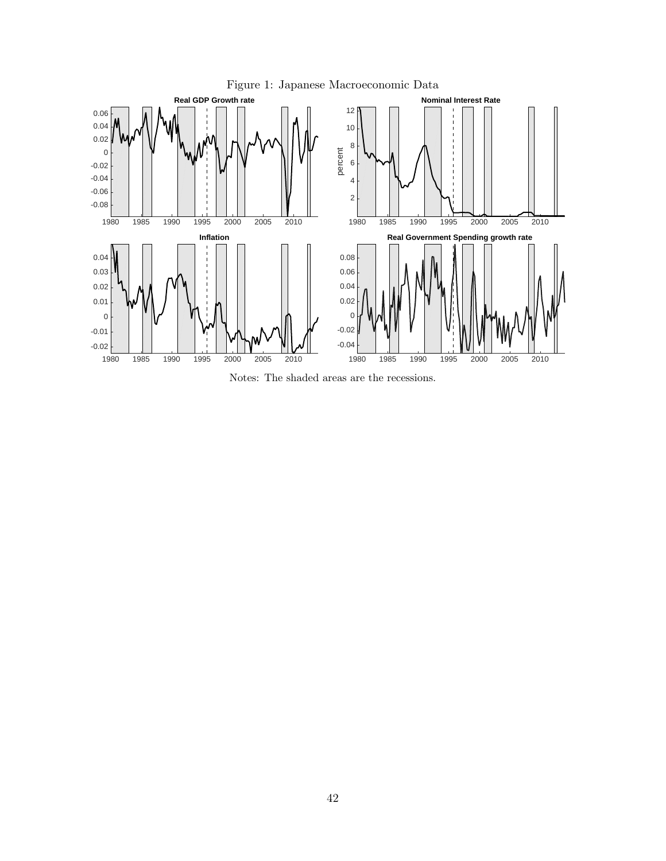<span id="page-42-0"></span>

Notes: The shaded areas are the recessions.

Figure 1: Japanese Macroeconomic Data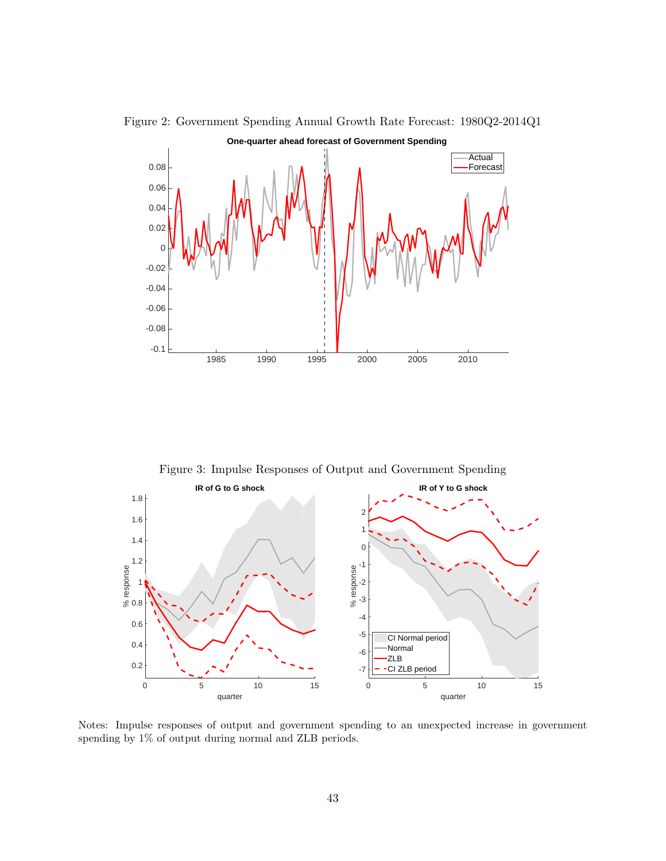

<span id="page-43-0"></span>Figure 2: Government Spending Annual Growth Rate Forecast: 1980Q2-2014Q1

Figure 3: Impulse Responses of Output and Government Spending

<span id="page-43-1"></span>

Notes: Impulse responses of output and government spending to an unexpected increase in government spending by 1% of output during normal and ZLB periods.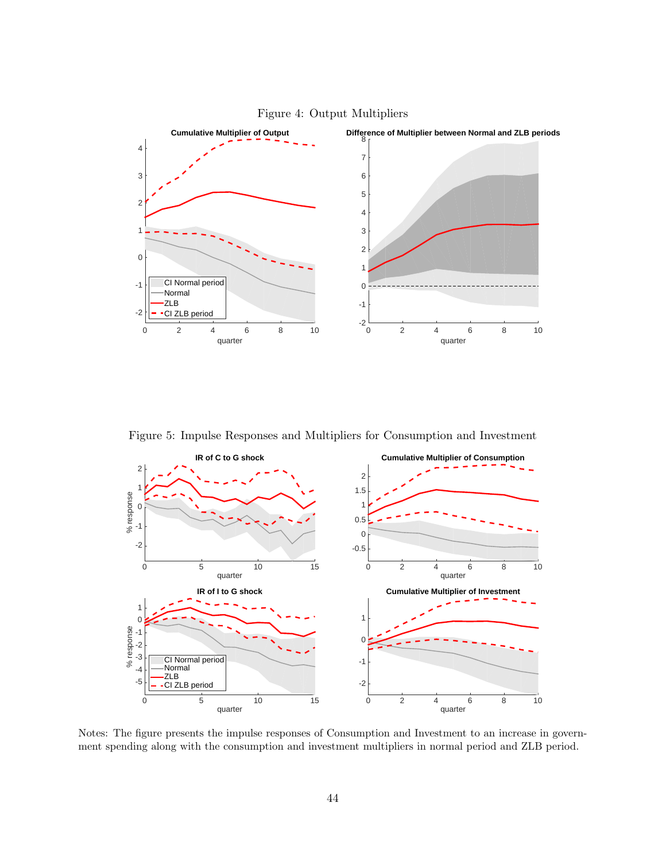<span id="page-44-0"></span>

Figure 4: Output Multipliers

Figure 5: Impulse Responses and Multipliers for Consumption and Investment

<span id="page-44-1"></span>

Notes: The figure presents the impulse responses of Consumption and Investment to an increase in government spending along with the consumption and investment multipliers in normal period and ZLB period.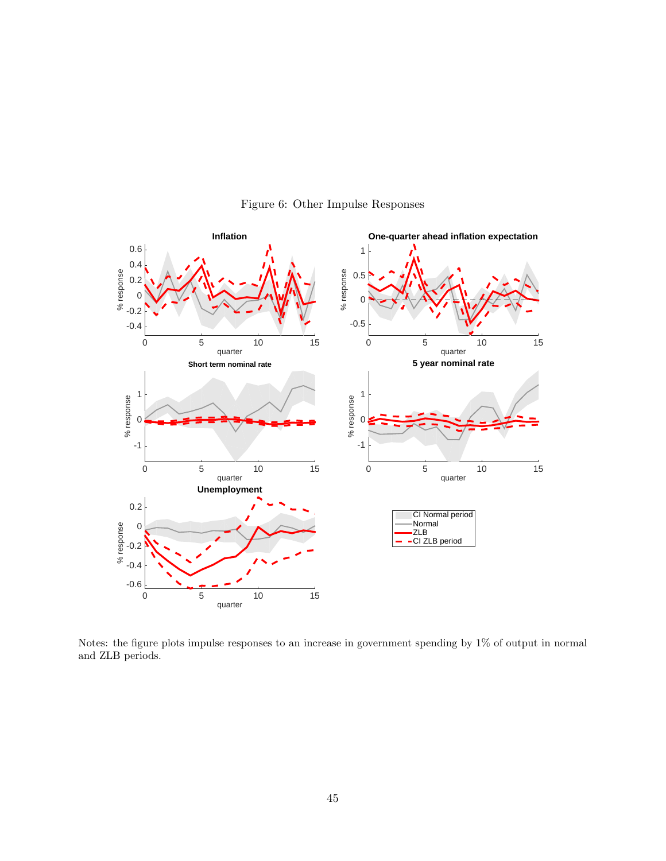<span id="page-45-0"></span>

Figure 6: Other Impulse Responses

Notes: the figure plots impulse responses to an increase in government spending by 1% of output in normal and ZLB periods.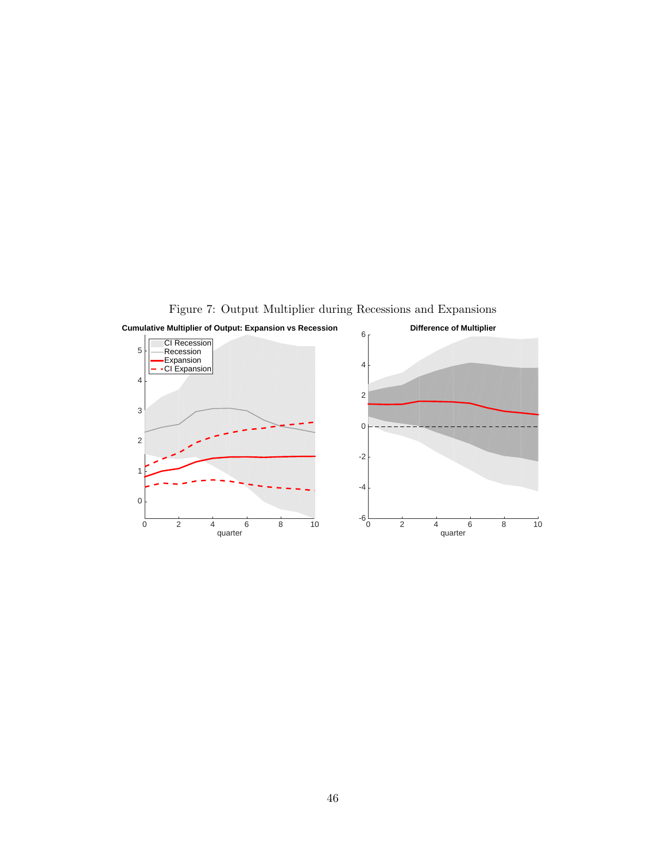<span id="page-46-0"></span>

Figure 7: Output Multiplier during Recessions and Expansions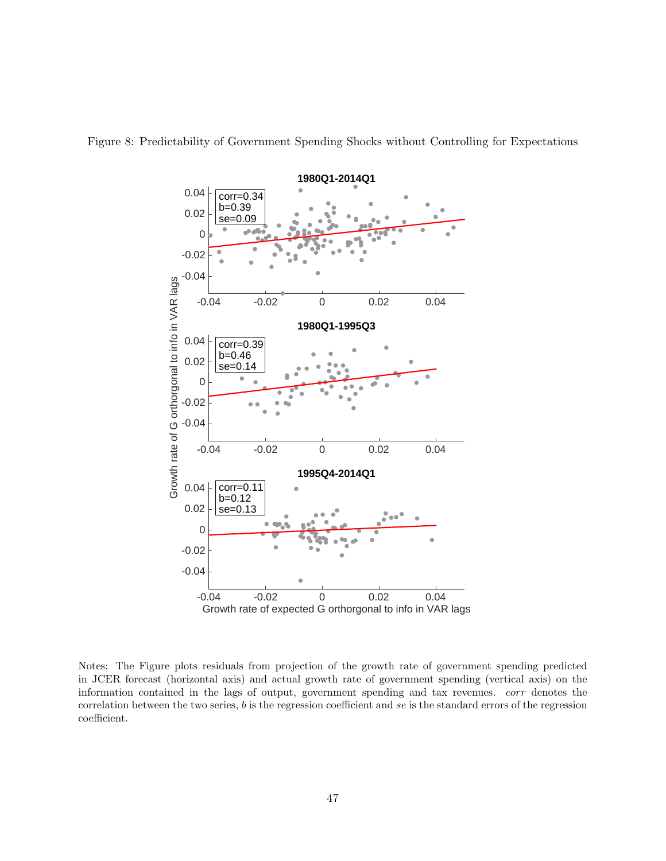

<span id="page-47-0"></span>Figure 8: Predictability of Government Spending Shocks without Controlling for Expectations

Notes: The Figure plots residuals from projection of the growth rate of government spending predicted in JCER forecast (horizontal axis) and actual growth rate of government spending (vertical axis) on the information contained in the lags of output, government spending and tax revenues. corr denotes the correlation between the two series,  $b$  is the regression coefficient and se is the standard errors of the regression coefficient.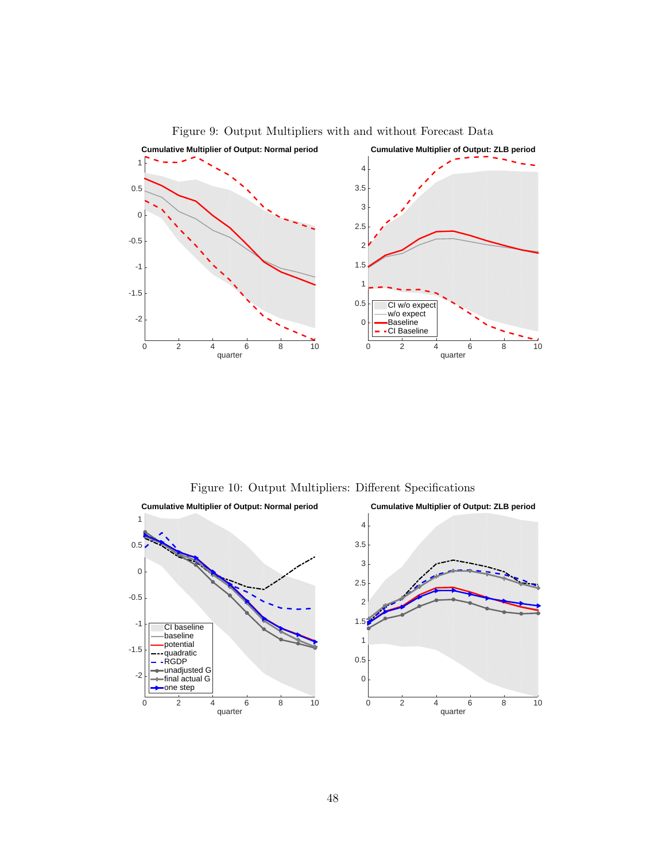<span id="page-48-0"></span>

Figure 9: Output Multipliers with and without Forecast Data

Figure 10: Output Multipliers: Different Specifications

<span id="page-48-1"></span>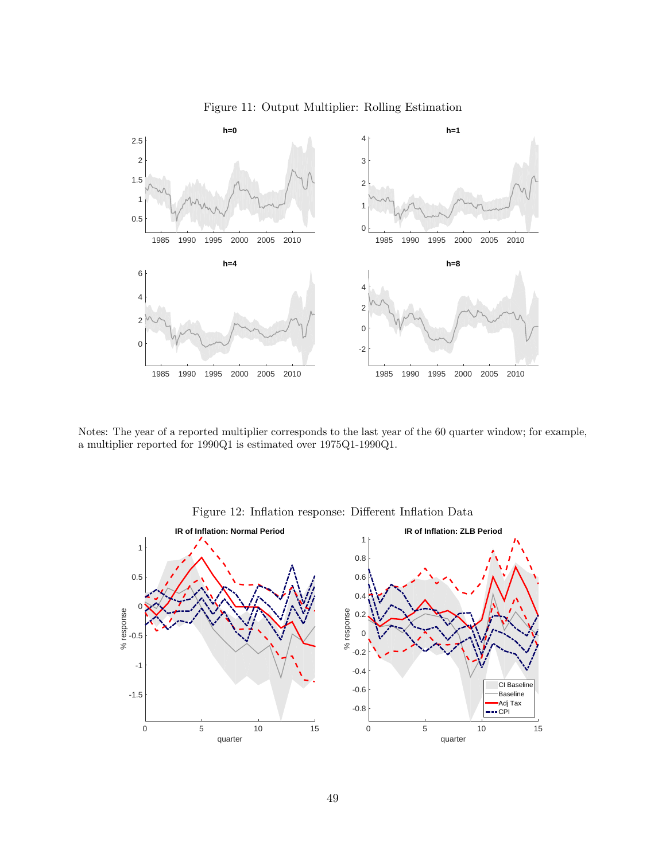<span id="page-49-0"></span>

Figure 11: Output Multiplier: Rolling Estimation

Notes: The year of a reported multiplier corresponds to the last year of the 60 quarter window; for example, a multiplier reported for 1990Q1 is estimated over 1975Q1-1990Q1.

<span id="page-49-1"></span>

Figure 12: Inflation response: Different Inflation Data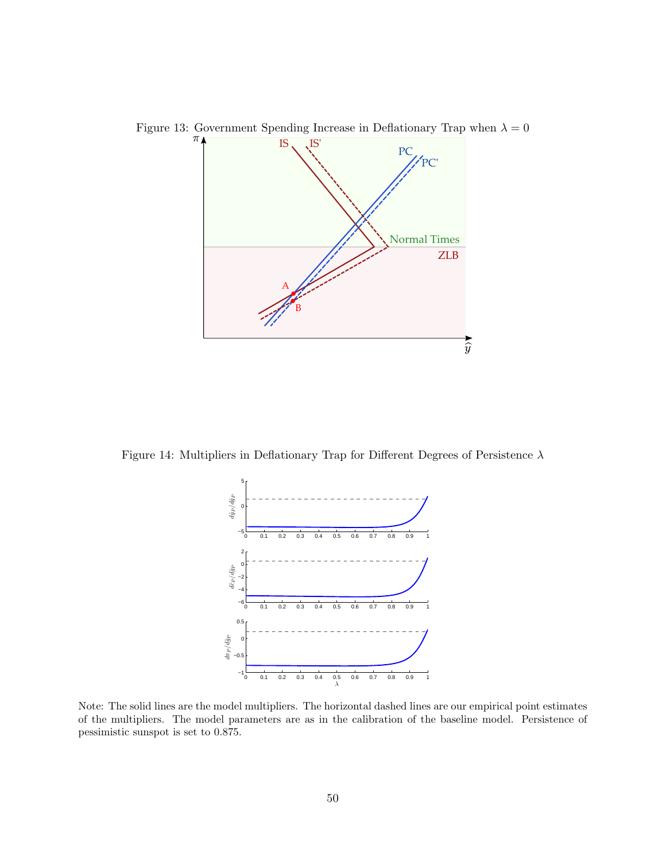

<span id="page-50-0"></span>Figure 13: Government Spending Increase in Deflationary Trap when  $\lambda=0$ 

<span id="page-50-1"></span>Figure 14: Multipliers in Deflationary Trap for Different Degrees of Persistence  $\lambda$ 



Note: The solid lines are the model multipliers. The horizontal dashed lines are our empirical point estimates of the multipliers. The model parameters are as in the calibration of the baseline model. Persistence of pessimistic sunspot is set to 0.875.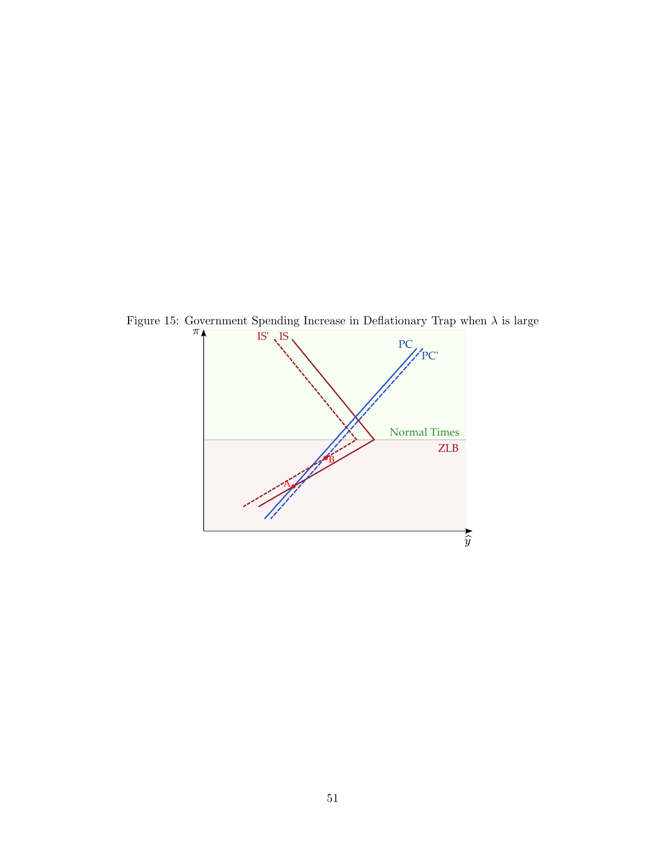

<span id="page-51-0"></span>Figure 15: Government Spending Increase in Deflationary Trap when  $\lambda$  is large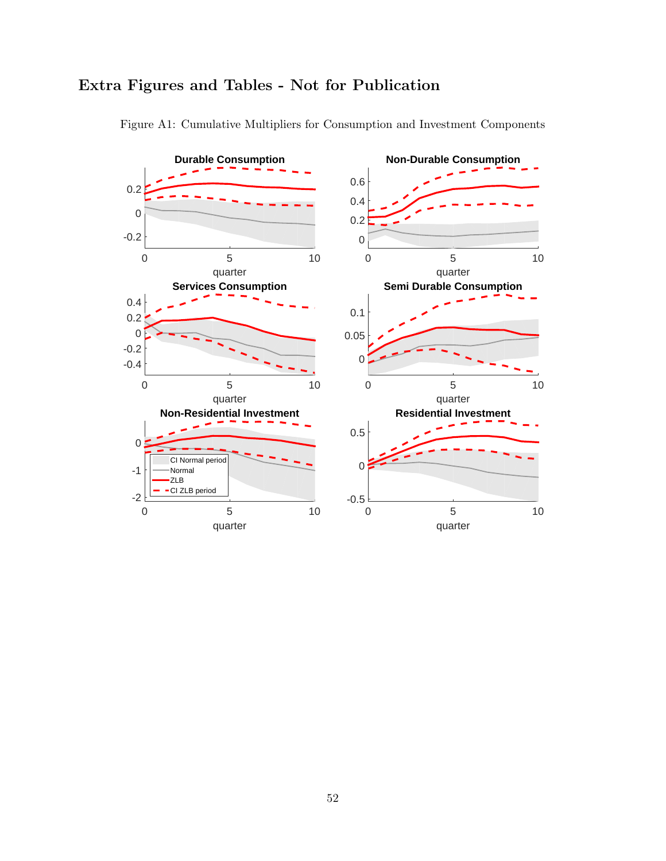<span id="page-52-0"></span>

Figure A1: Cumulative Multipliers for Consumption and Investment Components

# Extra Figures and Tables - Not for Publication

52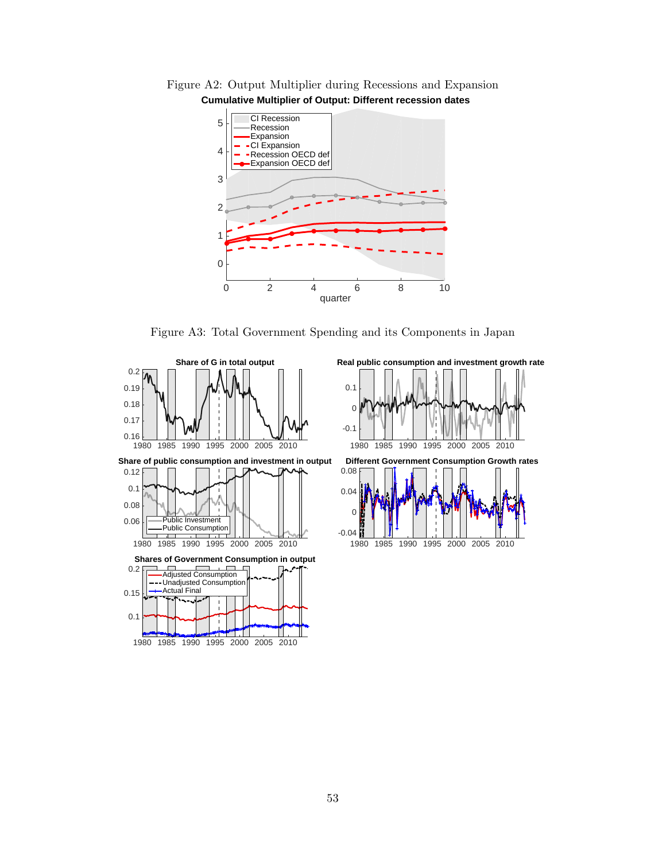<span id="page-53-0"></span>Figure A2: Output Multiplier during Recessions and Expansion **Cumulative Multiplier of Output: Different recession dates**



Figure A3: Total Government Spending and its Components in Japan